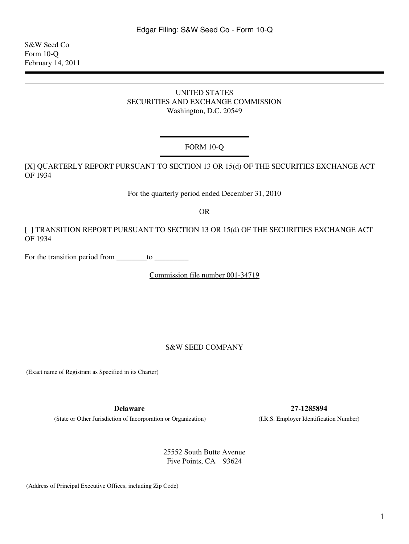<span id="page-0-0"></span>S&W Seed Co Form 10-Q February 14, 2011

### UNITED STATES SECURITIES AND EXCHANGE COMMISSION Washington, D.C. 20549

# FORM 10-Q

[X] QUARTERLY REPORT PURSUANT TO SECTION 13 OR 15(d) OF THE SECURITIES EXCHANGE ACT OF 1934

For the quarterly period ended December 31, 2010

OR

[ ] TRANSITION REPORT PURSUANT TO SECTION 13 OR 15(d) OF THE SECURITIES EXCHANGE ACT OF 1934

For the transition period from to

Commission file number 001-34719

#### S&W SEED COMPANY

(Exact name of Registrant as Specified in its Charter)

(State or Other Jurisdiction of Incorporation or Organization) (I.R.S. Employer Identification Number)

**Delaware 27-1285894**

25552 South Butte Avenue Five Points, CA 93624

(Address of Principal Executive Offices, including Zip Code)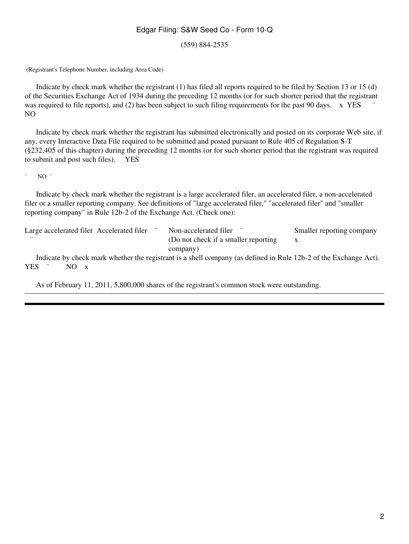(559) 884-2535

(Registrant's Telephone Number, including Area Code)

 Indicate by check mark whether the registrant (1) has filed all reports required to be filed by Section 13 or 15 (d) of the Securities Exchange Act of 1934 during the preceding 12 months (or for such shorter period that the registrant was required to file reports), and (2) has been subject to such filing requirements for the past 90 days.  $\bar{x}$  YES NO

 Indicate by check mark whether the registrant has submitted electronically and posted on its corporate Web site, if any, every Interactive Data File required to be submitted and posted pursuant to Rule 405 of Regulation S-T (§232.405 of this chapter) during the preceding 12 months (or for such shorter period that the registrant was required to submit and post such files). YES

 $\degree$  NO  $\degree$ 

 Indicate by check mark whether the registrant is a large accelerated filer, an accelerated filer, a non-accelerated filer or a smaller reporting company. See definitions of "large accelerated filer," "accelerated filer" and "smaller reporting company" in Rule 12b-2 of the Exchange Act. (Check one):

| Large accelerated filer Accelerated filer | Non-accelerated filer                | Smaller reporting company |
|-------------------------------------------|--------------------------------------|---------------------------|
|                                           | (Do not check if a smaller reporting |                           |
|                                           | company)                             |                           |

 Indicate by check mark whether the registrant is a shell company (as defined in Rule 12b-2 of the Exchange Act). YES <sup>"</sup> NO x

As of February 11, 2011, 5,800,000 shares of the registrant's common stock were outstanding.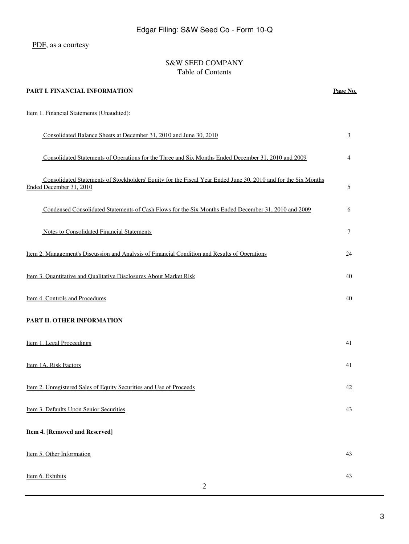[PDF](#page-0-0), as a courtesy

# S&W SEED COMPANY Table of Contents

| PART I. FINANCIAL INFORMATION                                                                                                             | Page No. |
|-------------------------------------------------------------------------------------------------------------------------------------------|----------|
| Item 1. Financial Statements (Unaudited):                                                                                                 |          |
| Consolidated Balance Sheets at December 31, 2010 and June 30, 2010                                                                        | 3        |
| Consolidated Statements of Operations for the Three and Six Months Ended December 31, 2010 and 2009                                       | 4        |
| Consolidated Statements of Stockholders' Equity for the Fiscal Year Ended June 30, 2010 and for the Six Months<br>Ended December 31, 2010 | 5        |
| Condensed Consolidated Statements of Cash Flows for the Six Months Ended December 31, 2010 and 2009                                       | 6        |
| <b>Notes to Consolidated Financial Statements</b>                                                                                         | $\tau$   |
| <u>Item 2. Management's Discussion and Analysis of Financial Condition and Results of Operations</u>                                      | 24       |
| Item 3. Quantitative and Qualitative Disclosures About Market Risk                                                                        | 40       |
| Item 4. Controls and Procedures                                                                                                           | 40       |
| PART II. OTHER INFORMATION                                                                                                                |          |
| Item 1. Legal Proceedings                                                                                                                 | 41       |
| Item 1A. Risk Factors                                                                                                                     | 41       |
| Item 2. Unregistered Sales of Equity Securities and Use of Proceeds                                                                       | 42       |
| Item 3. Defaults Upon Senior Securities                                                                                                   | 43       |
| Item 4. [Removed and Reserved]                                                                                                            |          |
| Item 5. Other Information                                                                                                                 | 43       |
| Item 6. Exhibits<br>$\mathfrak{2}$                                                                                                        | 43       |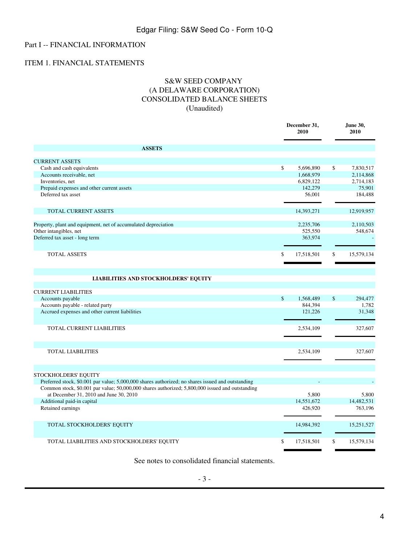# Part I -- FINANCIAL INFORMATION

### <span id="page-3-0"></span>ITEM 1. FINANCIAL STATEMENTS

# S&W SEED COMPANY (A DELAWARE CORPORATION) CONSOLIDATED BALANCE SHEETS (Unaudited)

|                                                                                                                                                                                                      | December 31,<br>2010 |               | June 30,<br>2010 |
|------------------------------------------------------------------------------------------------------------------------------------------------------------------------------------------------------|----------------------|---------------|------------------|
| <b>ASSETS</b>                                                                                                                                                                                        |                      |               |                  |
| <b>CURRENT ASSETS</b>                                                                                                                                                                                |                      |               |                  |
| Cash and cash equivalents                                                                                                                                                                            | \$<br>5.696.890      | \$            | 7.830.517        |
| Accounts receivable, net                                                                                                                                                                             | 1,668,979            |               | 2,114,868        |
| Inventories, net                                                                                                                                                                                     | 6,829,122            |               | 2,714,183        |
| Prepaid expenses and other current assets                                                                                                                                                            | 142,279              |               | 75,901           |
| Deferred tax asset                                                                                                                                                                                   | 56,001               |               | 184,488          |
| TOTAL CURRENT ASSETS                                                                                                                                                                                 | 14,393,271           |               | 12,919,957       |
| Property, plant and equipment, net of accumulated depreciation                                                                                                                                       | 2,235,706            |               | 2,110,503        |
| Other intangibles, net                                                                                                                                                                               | 525,550              |               | 548,674          |
| Deferred tax asset - long term                                                                                                                                                                       | 363,974              |               |                  |
| TOTAL ASSETS                                                                                                                                                                                         | \$<br>17,518,501     | \$            | 15,579,134       |
| <b>LIABILITIES AND STOCKHOLDERS' EQUITY</b>                                                                                                                                                          |                      |               |                  |
| <b>CURRENT LIABILITIES</b>                                                                                                                                                                           |                      |               |                  |
| Accounts payable                                                                                                                                                                                     | \$<br>1,568,489      | $\mathsf{\$}$ | 294,477          |
| Accounts payable - related party                                                                                                                                                                     | 844,394              |               | 1,782            |
| Accrued expenses and other current liabilities                                                                                                                                                       | 121,226              |               | 31,348           |
| TOTAL CURRENT LIABILITIES                                                                                                                                                                            | 2,534,109            |               | 327,607          |
| <b>TOTAL LIABILITIES</b>                                                                                                                                                                             | 2,534,109            |               | 327,607          |
|                                                                                                                                                                                                      |                      |               |                  |
| STOCKHOLDERS' EQUITY                                                                                                                                                                                 |                      |               |                  |
| Preferred stock, \$0.001 par value; 5,000,000 shares authorized; no shares issued and outstanding<br>Common stock, \$0.001 par value; 50,000,000 shares authorized; 5,800,000 issued and outstanding |                      |               |                  |
| at December 31, 2010 and June 30, 2010                                                                                                                                                               | 5,800                |               | 5,800            |
| Additional paid-in capital                                                                                                                                                                           | 14,551,672           |               | 14,482,531       |
| Retained earnings                                                                                                                                                                                    | 426,920              |               | 763,196          |
| TOTAL STOCKHOLDERS' EQUITY                                                                                                                                                                           | 14,984,392           |               | 15,251,527       |
| TOTAL LIABILITIES AND STOCKHOLDERS' EQUITY                                                                                                                                                           | \$<br>17,518,501     | \$            | 15,579,134       |

See notes to consolidated financial statements.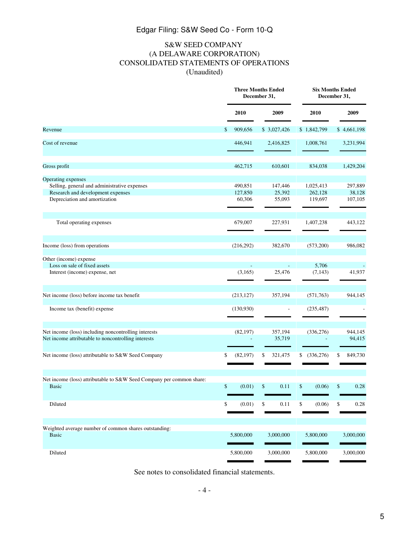# S&W SEED COMPANY (A DELAWARE CORPORATION) CONSOLIDATED STATEMENTS OF OPERATIONS (Unaudited)

<span id="page-4-0"></span>

|                                                                                                                                          | <b>Three Months Ended</b><br>December 31, |                              |    | <b>Six Months Ended</b><br>December 31, |    |                                 |    |                              |
|------------------------------------------------------------------------------------------------------------------------------------------|-------------------------------------------|------------------------------|----|-----------------------------------------|----|---------------------------------|----|------------------------------|
|                                                                                                                                          |                                           | 2010                         |    | 2009                                    |    | 2010                            |    | 2009                         |
| Revenue                                                                                                                                  | \$                                        | 909.656                      |    | \$3,027,426                             |    | \$1,842,799                     |    | \$4,661,198                  |
| Cost of revenue                                                                                                                          |                                           | 446,941                      |    | 2,416,825                               |    | 1,008,761                       |    | 3,231,994                    |
| Gross profit                                                                                                                             |                                           | 462,715                      |    | 610,601                                 |    | 834,038                         |    | 1,429,204                    |
| Operating expenses<br>Selling, general and administrative expenses<br>Research and development expenses<br>Depreciation and amortization |                                           | 490,851<br>127,850<br>60,306 |    | 147,446<br>25,392<br>55,093             |    | 1,025,413<br>262,128<br>119,697 |    | 297,889<br>38,128<br>107,105 |
| Total operating expenses                                                                                                                 |                                           | 679,007                      |    | 227,931                                 |    | 1,407,238                       |    | 443,122                      |
| Income (loss) from operations                                                                                                            |                                           | (216, 292)                   |    | 382,670                                 |    | (573,200)                       |    | 986,082                      |
| Other (income) expense<br>Loss on sale of fixed assets<br>Interest (income) expense, net                                                 |                                           | (3,165)                      |    | 25,476                                  |    | 5,706<br>(7, 143)               |    | 41,937                       |
| Net income (loss) before income tax benefit                                                                                              |                                           | (213, 127)                   |    | 357,194                                 |    | (571,763)                       |    | 944,145                      |
| Income tax (benefit) expense                                                                                                             |                                           | (130,930)                    |    | $\frac{1}{2}$                           |    | (235, 487)                      |    |                              |
| Net income (loss) including noncontrolling interests<br>Net income attributable to noncontrolling interests                              |                                           | (82, 197)                    |    | 357,194<br>35,719                       |    | (336, 276)                      |    | 944,145<br>94,415            |
| Net income (loss) attributable to S&W Seed Company                                                                                       |                                           | (82, 197)                    |    | 321,475                                 |    | (336, 276)                      |    | 849,730                      |
| Net income (loss) attributable to S&W Seed Company per common share:<br><b>Basic</b>                                                     | \$                                        | (0.01)                       | \$ | 0.11                                    | \$ | (0.06)                          | \$ | 0.28                         |
| Diluted                                                                                                                                  | \$                                        | (0.01)                       | \$ | 0.11                                    | \$ | (0.06)                          | \$ | 0.28                         |
| Weighted average number of common shares outstanding:<br><b>Basic</b>                                                                    |                                           | 5,800,000                    |    | 3,000,000                               |    | 5,800,000                       |    | 3,000,000                    |
| Diluted                                                                                                                                  |                                           | 5,800,000                    |    | 3,000,000                               |    | 5,800,000                       |    | 3,000,000                    |

See notes to consolidated financial statements.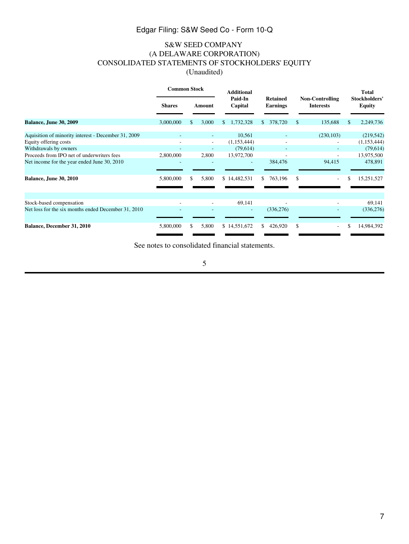# S&W SEED COMPANY (A DELAWARE CORPORATION) CONSOLIDATED STATEMENTS OF STOCKHOLDERS' EQUITY (Unaudited)

<span id="page-6-0"></span>

|                                                     | <b>Common Stock</b> |     | <b>Additional</b> |    |                          |     |                                    |               |                                            | <b>Total</b> |                                       |
|-----------------------------------------------------|---------------------|-----|-------------------|----|--------------------------|-----|------------------------------------|---------------|--------------------------------------------|--------------|---------------------------------------|
|                                                     | <b>Shares</b>       |     | Amount            |    | Paid-In<br>Capital       |     | <b>Retained</b><br><b>Earnings</b> |               | <b>Non-Controlling</b><br><b>Interests</b> |              | <b>Stockholders'</b><br><b>Equity</b> |
| <b>Balance, June 30, 2009</b>                       | 3,000,000           | \$. | 3,000             | S. | 1,732,328                | \$. | 378,720                            | <sup>\$</sup> | 135,688                                    | SS.          | 2,249,736                             |
| Aquisition of minority interest - December 31, 2009 |                     |     |                   |    | 10,561                   |     |                                    |               | (230, 103)                                 |              | (219, 542)                            |
| Equity offering costs                               |                     |     |                   |    | (1,153,444)              |     |                                    |               |                                            |              | (1,153,444)                           |
| Withdrawals by owners                               |                     |     |                   |    | (79,614)                 |     |                                    |               |                                            |              | (79, 614)                             |
| Proceeds from IPO net of underwriters fees          | 2,800,000           |     | 2,800             |    | 13,972,700               |     | ٠                                  |               |                                            |              | 13,975,500                            |
| Net income for the year ended June 30, 2010         |                     |     |                   |    |                          |     | 384,476                            |               | 94,415                                     |              | 478,891                               |
| <b>Balance, June 30, 2010</b>                       | 5,800,000           | \$  | 5,800             |    | \$14,482,531             | \$  | 763,196                            | \$            |                                            | \$           | 15,251,527                            |
| Stock-based compensation                            |                     |     |                   |    | 69,141                   |     |                                    |               |                                            |              | 69,141                                |
| Net loss for the six months ended December 31, 2010 |                     |     |                   |    | $\overline{\phantom{a}}$ |     | (336, 276)                         |               |                                            |              | (336, 276)                            |
| Balance, December 31, 2010                          | 5,800,000           | \$. | 5,800             |    | \$14,551,672             | \$. | 426,920                            | \$.           | $\sim$                                     | \$.          | 14,984,392                            |

See notes to consolidated financial statements.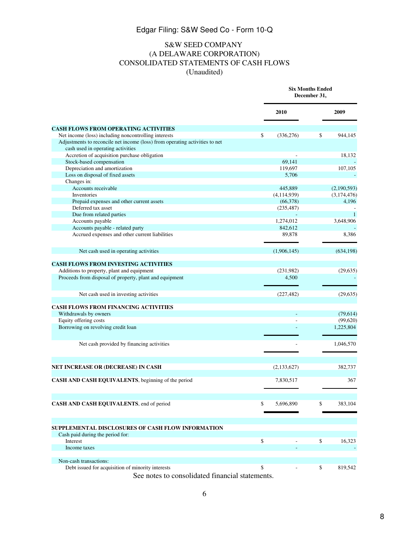# S&W SEED COMPANY (A DELAWARE CORPORATION) CONSOLIDATED STATEMENTS OF CASH FLOWS (Unaudited)

<span id="page-7-0"></span>

|                                                                                       | <b>Six Months Ended</b><br>December 31, |    |                       |
|---------------------------------------------------------------------------------------|-----------------------------------------|----|-----------------------|
|                                                                                       | 2010                                    |    | 2009                  |
| <b>CASH FLOWS FROM OPERATING ACTIVITIES</b>                                           |                                         |    |                       |
| Net income (loss) including noncontrolling interests                                  | \$<br>(336, 276)                        | \$ | 944,145               |
| Adjustments to reconcile net income (loss) from operating activities to net           |                                         |    |                       |
| cash used in operating activities                                                     |                                         |    |                       |
| Accretion of acquisition purchase obligation                                          |                                         |    | 18,132                |
| Stock-based compensation                                                              | 69,141                                  |    |                       |
| Depreciation and amortization                                                         | 119,697                                 |    | 107,105               |
| Loss on disposal of fixed assets                                                      | 5,706                                   |    |                       |
| Changes in:                                                                           |                                         |    |                       |
| Accounts receivable                                                                   | 445,889                                 |    | (2,190,593)           |
| Inventories                                                                           | (4,114,939)                             |    | (3,174,476)           |
| Prepaid expenses and other current assets                                             | (66,378)                                |    | 4,196                 |
| Deferred tax asset                                                                    | (235, 487)                              |    |                       |
| Due from related parties                                                              |                                         |    | 1                     |
| Accounts payable                                                                      | 1,274,012                               |    | 3,648,906             |
| Accounts payable - related party                                                      | 842,612                                 |    |                       |
| Accrued expenses and other current liabilities                                        | 89,878                                  |    | 8,386                 |
|                                                                                       |                                         |    |                       |
| Net cash used in operating activities                                                 | (1,906,145)                             |    | (634, 198)            |
| <b>CASH FLOWS FROM INVESTING ACTIVITIES</b>                                           |                                         |    |                       |
| Additions to property, plant and equipment                                            | (231,982)                               |    | (29, 635)             |
| Proceeds from disposal of property, plant and equipment                               | 4,500                                   |    |                       |
| Net cash used in investing activities                                                 | (227, 482)                              |    | (29, 635)             |
| <b>CASH FLOWS FROM FINANCING ACTIVITIES</b>                                           |                                         |    |                       |
|                                                                                       |                                         |    |                       |
| Withdrawals by owners                                                                 |                                         |    | (79,614)              |
| Equity offering costs                                                                 |                                         |    | (99,620)<br>1,225,804 |
| Borrowing on revolving credit loan                                                    |                                         |    |                       |
| Net cash provided by financing activities                                             |                                         |    | 1,046,570             |
|                                                                                       |                                         |    |                       |
| NET INCREASE OR (DECREASE) IN CASH                                                    | (2, 133, 627)                           |    | 382,737               |
| CASH AND CASH EQUIVALENTS, beginning of the period                                    | 7,830,517                               |    | 367                   |
| CASH AND CASH EQUIVALENTS, end of period                                              | \$<br>5,696,890                         | \$ | 383,104               |
| SUPPLEMENTAL DISCLOSURES OF CASH FLOW INFORMATION<br>Cash paid during the period for: |                                         |    |                       |
| Interest                                                                              | \$                                      | \$ | 16,323                |
| Income taxes                                                                          |                                         |    |                       |
| Non-cash transactions:                                                                |                                         |    |                       |
| Debt issued for acquisition of minority interests                                     | \$                                      | \$ | 819,542               |
|                                                                                       |                                         |    |                       |

See notes to consolidated financial statements.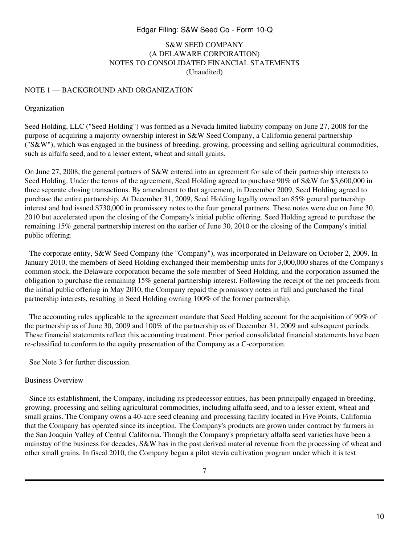# S&W SEED COMPANY (A DELAWARE CORPORATION) NOTES TO CONSOLIDATED FINANCIAL STATEMENTS (Unaudited)

#### <span id="page-9-0"></span>NOTE 1 — BACKGROUND AND ORGANIZATION

#### Organization

Seed Holding, LLC ("Seed Holding") was formed as a Nevada limited liability company on June 27, 2008 for the purpose of acquiring a majority ownership interest in S&W Seed Company, a California general partnership (" $S&W$ "), which was engaged in the business of breeding, growing, processing and selling agricultural commodities, such as alfalfa seed, and to a lesser extent, wheat and small grains.

On June 27, 2008, the general partners of S&W entered into an agreement for sale of their partnership interests to Seed Holding. Under the terms of the agreement, Seed Holding agreed to purchase 90% of S&W for \$3,600,000 in three separate closing transactions. By amendment to that agreement, in December 2009, Seed Holding agreed to purchase the entire partnership. At December 31, 2009, Seed Holding legally owned an 85% general partnership interest and had issued \$730,000 in promissory notes to the four general partners. These notes were due on June 30, 2010 but accelerated upon the closing of the Company's initial public offering. Seed Holding agreed to purchase the remaining 15% general partnership interest on the earlier of June 30, 2010 or the closing of the Company's initial public offering.

 The corporate entity, S&W Seed Company (the "Company"), was incorporated in Delaware on October 2, 2009. In January 2010, the members of Seed Holding exchanged their membership units for 3,000,000 shares of the Company's common stock, the Delaware corporation became the sole member of Seed Holding, and the corporation assumed the obligation to purchase the remaining 15% general partnership interest. Following the receipt of the net proceeds from the initial public offering in May 2010, the Company repaid the promissory notes in full and purchased the final partnership interests, resulting in Seed Holding owning 100% of the former partnership.

 The accounting rules applicable to the agreement mandate that Seed Holding account for the acquisition of 90% of the partnership as of June 30, 2009 and 100% of the partnership as of December 31, 2009 and subsequent periods. These financial statements reflect this accounting treatment. Prior period consolidated financial statements have been re-classified to conform to the equity presentation of the Company as a C-corporation.

 See Note 3 for further discussion.

#### Business Overview

 Since its establishment, the Company, including its predecessor entities, has been principally engaged in breeding, growing, processing and selling agricultural commodities, including alfalfa seed, and to a lesser extent, wheat and small grains. The Company owns a 40-acre seed cleaning and processing facility located in Five Points, California that the Company has operated since its inception. The Company's products are grown under contract by farmers in the San Joaquin Valley of Central California. Though the Company's proprietary alfalfa seed varieties have been a mainstay of the business for decades, S&W has in the past derived material revenue from the processing of wheat and other small grains. In fiscal 2010, the Company began a pilot stevia cultivation program under which it is test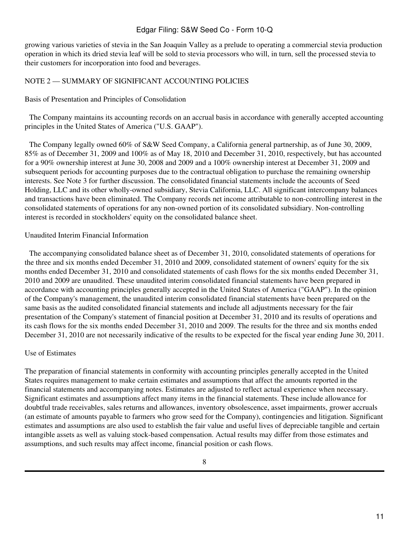growing various varieties of stevia in the San Joaquin Valley as a prelude to operating a commercial stevia production operation in which its dried stevia leaf will be sold to stevia processors who will, in turn, sell the processed stevia to their customers for incorporation into food and beverages.

### NOTE 2 — SUMMARY OF SIGNIFICANT ACCOUNTING POLICIES

Basis of Presentation and Principles of Consolidation

 The Company maintains its accounting records on an accrual basis in accordance with generally accepted accounting principles in the United States of America ("U.S. GAAP").

 The Company legally owned 60% of S&W Seed Company, a California general partnership, as of June 30, 2009, 85% as of December 31, 2009 and 100% as of May 18, 2010 and December 31, 2010, respectively, but has accounted for a 90% ownership interest at June 30, 2008 and 2009 and a 100% ownership interest at December 31, 2009 and subsequent periods for accounting purposes due to the contractual obligation to purchase the remaining ownership interests. See Note 3 for further discussion. The consolidated financial statements include the accounts of Seed Holding, LLC and its other wholly-owned subsidiary, Stevia California, LLC. All significant intercompany balances and transactions have been eliminated. The Company records net income attributable to non-controlling interest in the consolidated statements of operations for any non-owned portion of its consolidated subsidiary. Non-controlling interest is recorded in stockholders' equity on the consolidated balance sheet.

#### Unaudited Interim Financial Information

 The accompanying consolidated balance sheet as of December 31, 2010, consolidated statements of operations for the three and six months ended December 31, 2010 and 2009, consolidated statement of owners' equity for the six months ended December 31, 2010 and consolidated statements of cash flows for the six months ended December 31, 2010 and 2009 are unaudited. These unaudited interim consolidated financial statements have been prepared in accordance with accounting principles generally accepted in the United States of America ("GAAP"). In the opinion of the Company's management, the unaudited interim consolidated financial statements have been prepared on the same basis as the audited consolidated financial statements and include all adjustments necessary for the fair presentation of the Company's statement of financial position at December 31, 2010 and its results of operations and its cash flows for the six months ended December 31, 2010 and 2009. The results for the three and six months ended December 31, 2010 are not necessarily indicative of the results to be expected for the fiscal year ending June 30, 2011.

#### Use of Estimates

The preparation of financial statements in conformity with accounting principles generally accepted in the United States requires management to make certain estimates and assumptions that affect the amounts reported in the financial statements and accompanying notes. Estimates are adjusted to reflect actual experience when necessary. Significant estimates and assumptions affect many items in the financial statements. These include allowance for doubtful trade receivables, sales returns and allowances, inventory obsolescence, asset impairments, grower accruals (an estimate of amounts payable to farmers who grow seed for the Company), contingencies and litigation. Significant estimates and assumptions are also used to establish the fair value and useful lives of depreciable tangible and certain intangible assets as well as valuing stock-based compensation. Actual results may differ from those estimates and assumptions, and such results may affect income, financial position or cash flows.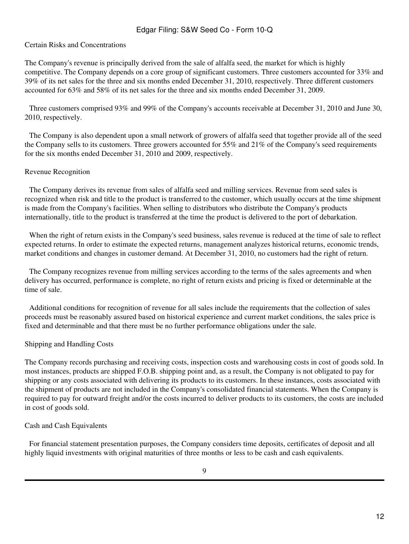### Certain Risks and Concentrations

The Company's revenue is principally derived from the sale of alfalfa seed, the market for which is highly competitive. The Company depends on a core group of significant customers. Three customers accounted for 33% and 39% of its net sales for the three and six months ended December 31, 2010, respectively. Three different customers accounted for 63% and 58% of its net sales for the three and six months ended December 31, 2009.

 Three customers comprised 93% and 99% of the Company's accounts receivable at December 31, 2010 and June 30, 2010, respectively.

 The Company is also dependent upon a small network of growers of alfalfa seed that together provide all of the seed the Company sells to its customers. Three growers accounted for 55% and 21% of the Company's seed requirements for the six months ended December 31, 2010 and 2009, respectively.

### Revenue Recognition

 The Company derives its revenue from sales of alfalfa seed and milling services. Revenue from seed sales is recognized when risk and title to the product is transferred to the customer, which usually occurs at the time shipment is made from the Company's facilities. When selling to distributors who distribute the Company's products internationally, title to the product is transferred at the time the product is delivered to the port of debarkation.

 When the right of return exists in the Company's seed business, sales revenue is reduced at the time of sale to reflect expected returns. In order to estimate the expected returns, management analyzes historical returns, economic trends, market conditions and changes in customer demand. At December 31, 2010, no customers had the right of return.

 The Company recognizes revenue from milling services according to the terms of the sales agreements and when delivery has occurred, performance is complete, no right of return exists and pricing is fixed or determinable at the time of sale.

 Additional conditions for recognition of revenue for all sales include the requirements that the collection of sales proceeds must be reasonably assured based on historical experience and current market conditions, the sales price is fixed and determinable and that there must be no further performance obligations under the sale.

#### Shipping and Handling Costs

The Company records purchasing and receiving costs, inspection costs and warehousing costs in cost of goods sold. In most instances, products are shipped F.O.B. shipping point and, as a result, the Company is not obligated to pay for shipping or any costs associated with delivering its products to its customers. In these instances, costs associated with the shipment of products are not included in the Company's consolidated financial statements. When the Company is required to pay for outward freight and/or the costs incurred to deliver products to its customers, the costs are included in cost of goods sold.

#### Cash and Cash Equivalents

 For financial statement presentation purposes, the Company considers time deposits, certificates of deposit and all highly liquid investments with original maturities of three months or less to be cash and cash equivalents.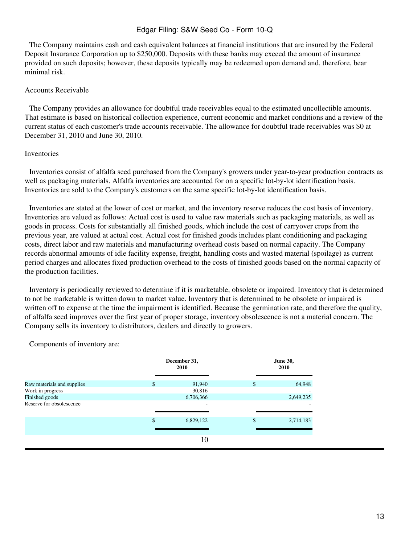The Company maintains cash and cash equivalent balances at financial institutions that are insured by the Federal Deposit Insurance Corporation up to \$250,000. Deposits with these banks may exceed the amount of insurance provided on such deposits; however, these deposits typically may be redeemed upon demand and, therefore, bear minimal risk.

### Accounts Receivable

 The Company provides an allowance for doubtful trade receivables equal to the estimated uncollectible amounts. That estimate is based on historical collection experience, current economic and market conditions and a review of the current status of each customer's trade accounts receivable. The allowance for doubtful trade receivables was \$0 at December 31, 2010 and June 30, 2010.

### Inventories

 Inventories consist of alfalfa seed purchased from the Company's growers under year-to-year production contracts as well as packaging materials. Alfalfa inventories are accounted for on a specific lot-by-lot identification basis. Inventories are sold to the Company's customers on the same specific lot-by-lot identification basis.

 Inventories are stated at the lower of cost or market, and the inventory reserve reduces the cost basis of inventory. Inventories are valued as follows: Actual cost is used to value raw materials such as packaging materials, as well as goods in process. Costs for substantially all finished goods, which include the cost of carryover crops from the previous year, are valued at actual cost. Actual cost for finished goods includes plant conditioning and packaging costs, direct labor and raw materials and manufacturing overhead costs based on normal capacity. The Company records abnormal amounts of idle facility expense, freight, handling costs and wasted material (spoilage) as current period charges and allocates fixed production overhead to the costs of finished goods based on the normal capacity of the production facilities.

 Inventory is periodically reviewed to determine if it is marketable, obsolete or impaired. Inventory that is determined to not be marketable is written down to market value. Inventory that is determined to be obsolete or impaired is written off to expense at the time the impairment is identified. Because the germination rate, and therefore the quality, of alfalfa seed improves over the first year of proper storage, inventory obsolescence is not a material concern. The Company sells its inventory to distributors, dealers and directly to growers.

 Components of inventory are:

|                            | December 31,<br>2010 | <b>June 30,</b><br>2010 |           |  |
|----------------------------|----------------------|-------------------------|-----------|--|
| Raw materials and supplies | \$<br>91,940         | \$                      | 64,948    |  |
| Work in progress           | 30,816               |                         | ۰         |  |
| Finished goods             | 6,706,366            |                         | 2,649,235 |  |
| Reserve for obsolescence   | ۰                    |                         | ٠         |  |
|                            | \$<br>6,829,122      | \$                      | 2,714,183 |  |
|                            |                      |                         |           |  |
|                            | 10                   |                         |           |  |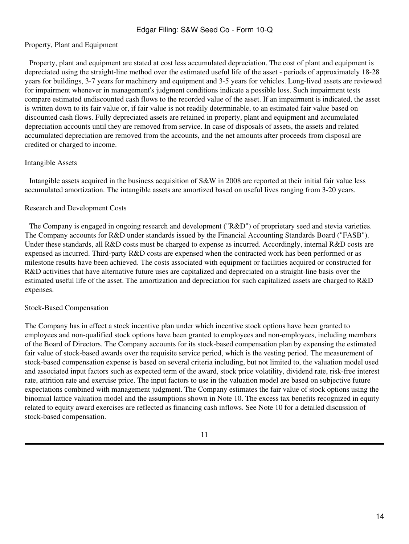### Property, Plant and Equipment

 Property, plant and equipment are stated at cost less accumulated depreciation. The cost of plant and equipment is depreciated using the straight-line method over the estimated useful life of the asset - periods of approximately 18-28 years for buildings, 3-7 years for machinery and equipment and 3-5 years for vehicles. Long-lived assets are reviewed for impairment whenever in management's judgment conditions indicate a possible loss. Such impairment tests compare estimated undiscounted cash flows to the recorded value of the asset. If an impairment is indicated, the asset is written down to its fair value or, if fair value is not readily determinable, to an estimated fair value based on discounted cash flows. Fully depreciated assets are retained in property, plant and equipment and accumulated depreciation accounts until they are removed from service. In case of disposals of assets, the assets and related accumulated depreciation are removed from the accounts, and the net amounts after proceeds from disposal are credited or charged to income.

#### Intangible Assets

 Intangible assets acquired in the business acquisition of S&W in 2008 are reported at their initial fair value less accumulated amortization. The intangible assets are amortized based on useful lives ranging from 3-20 years.

### Research and Development Costs

 The Company is engaged in ongoing research and development ("R&D") of proprietary seed and stevia varieties. The Company accounts for R&D under standards issued by the Financial Accounting Standards Board ("FASB"). Under these standards, all R&D costs must be charged to expense as incurred. Accordingly, internal R&D costs are expensed as incurred. Third-party R&D costs are expensed when the contracted work has been performed or as milestone results have been achieved. The costs associated with equipment or facilities acquired or constructed for R&D activities that have alternative future uses are capitalized and depreciated on a straight-line basis over the estimated useful life of the asset. The amortization and depreciation for such capitalized assets are charged to R&D expenses.

#### Stock-Based Compensation

The Company has in effect a stock incentive plan under which incentive stock options have been granted to employees and non-qualified stock options have been granted to employees and non-employees, including members of the Board of Directors. The Company accounts for its stock-based compensation plan by expensing the estimated fair value of stock-based awards over the requisite service period, which is the vesting period. The measurement of stock-based compensation expense is based on several criteria including, but not limited to, the valuation model used and associated input factors such as expected term of the award, stock price volatility, dividend rate, risk-free interest rate, attrition rate and exercise price. The input factors to use in the valuation model are based on subjective future expectations combined with management judgment. The Company estimates the fair value of stock options using the binomial lattice valuation model and the assumptions shown in Note 10. The excess tax benefits recognized in equity related to equity award exercises are reflected as financing cash inflows. See Note 10 for a detailed discussion of stock-based compensation.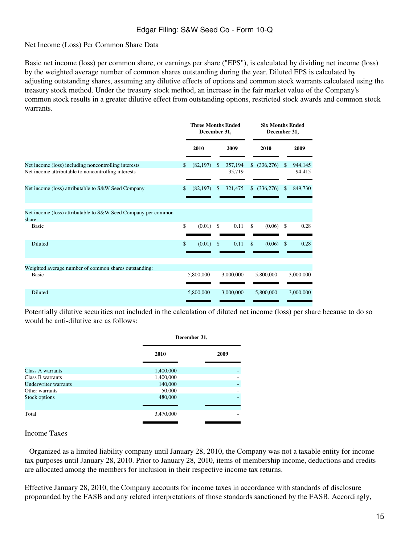### Net Income (Loss) Per Common Share Data

Basic net income (loss) per common share, or earnings per share ("EPS"), is calculated by dividing net income (loss) by the weighted average number of common shares outstanding during the year. Diluted EPS is calculated by adjusting outstanding shares, assuming any dilutive effects of options and common stock warrants calculated using the treasury stock method. Under the treasury stock method, an increase in the fair market value of the Company's common stock results in a greater dilutive effect from outstanding options, restricted stock awards and common stock warrants.

|                                                                                                             | <b>Three Months Ended</b><br>December 31, |           |                    |                   | <b>Six Months Ended</b><br>December 31, |              |               |                   |
|-------------------------------------------------------------------------------------------------------------|-------------------------------------------|-----------|--------------------|-------------------|-----------------------------------------|--------------|---------------|-------------------|
|                                                                                                             |                                           | 2010      |                    | 2009              |                                         | 2010         |               | 2009              |
| Net income (loss) including noncontrolling interests<br>Net income attributable to noncontrolling interests | \$                                        | (82, 197) | \$                 | 357,194<br>35,719 |                                         | \$ (336,276) | \$            | 944,145<br>94,415 |
| Net income (loss) attributable to S&W Seed Company                                                          | \$                                        | (82, 197) | \$                 | 321,475           |                                         | \$ (336,276) | \$            | 849,730           |
| Net income (loss) attributable to S&W Seed Company per common<br>share:                                     |                                           |           |                    |                   |                                         |              |               |                   |
| Basic                                                                                                       | \$                                        | (0.01)    | $\mathcal{S}$      | 0.11              | $\mathcal{S}$                           | (0.06)       | $\mathcal{S}$ | 0.28              |
| <b>Diluted</b>                                                                                              | \$                                        | (0.01)    | $\mathbf{\hat{S}}$ | 0.11              | \$                                      | (0.06)       | \$            | 0.28              |
| Weighted average number of common shares outstanding:                                                       |                                           |           |                    |                   |                                         |              |               |                   |
| <b>Basic</b>                                                                                                |                                           | 5,800,000 |                    | 3,000,000         |                                         | 5,800,000    |               | 3,000,000         |
| Diluted                                                                                                     |                                           | 5,800,000 |                    | 3,000,000         |                                         | 5,800,000    |               | 3,000,000         |

Potentially dilutive securities not included in the calculation of diluted net income (loss) per share because to do so would be anti-dilutive are as follows:

|                      | December 31, |      |
|----------------------|--------------|------|
|                      | 2010         | 2009 |
| Class A warrants     | 1,400,000    |      |
| Class B warrants     | 1,400,000    |      |
| Underwriter warrants | 140,000      |      |
| Other warrants       | 50,000       |      |
| Stock options        | 480,000      |      |
|                      |              |      |
| Total                | 3,470,000    |      |
|                      |              |      |
|                      |              |      |

Income Taxes

 Organized as a limited liability company until January 28, 2010, the Company was not a taxable entity for income tax purposes until January 28, 2010. Prior to January 28, 2010, items of membership income, deductions and credits are allocated among the members for inclusion in their respective income tax returns.

Effective January 28, 2010, the Company accounts for income taxes in accordance with standards of disclosure propounded by the FASB and any related interpretations of those standards sanctioned by the FASB. Accordingly,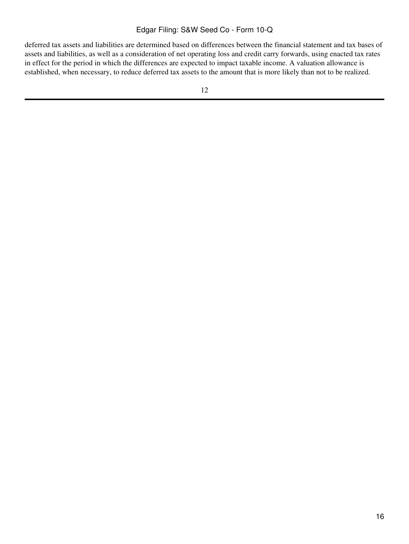deferred tax assets and liabilities are determined based on differences between the financial statement and tax bases of assets and liabilities, as well as a consideration of net operating loss and credit carry forwards, using enacted tax rates in effect for the period in which the differences are expected to impact taxable income. A valuation allowance is established, when necessary, to reduce deferred tax assets to the amount that is more likely than not to be realized.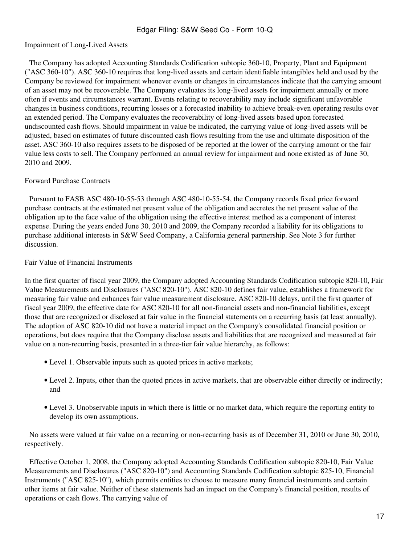### Impairment of Long-Lived Assets

 The Company has adopted Accounting Standards Codification subtopic 360-10, Property, Plant and Equipment ("ASC 360-10"). ASC 360-10 requires that long-lived assets and certain identifiable intangibles held and used by the Company be reviewed for impairment whenever events or changes in circumstances indicate that the carrying amount of an asset may not be recoverable. The Company evaluates its long-lived assets for impairment annually or more often if events and circumstances warrant. Events relating to recoverability may include significant unfavorable changes in business conditions, recurring losses or a forecasted inability to achieve break-even operating results over an extended period. The Company evaluates the recoverability of long-lived assets based upon forecasted undiscounted cash flows. Should impairment in value be indicated, the carrying value of long-lived assets will be adjusted, based on estimates of future discounted cash flows resulting from the use and ultimate disposition of the asset. ASC 360-10 also requires assets to be disposed of be reported at the lower of the carrying amount or the fair value less costs to sell. The Company performed an annual review for impairment and none existed as of June 30, 2010 and 2009.

#### Forward Purchase Contracts

 Pursuant to FASB ASC 480-10-55-53 through ASC 480-10-55-54, the Company records fixed price forward purchase contracts at the estimated net present value of the obligation and accretes the net present value of the obligation up to the face value of the obligation using the effective interest method as a component of interest expense. During the years ended June 30, 2010 and 2009, the Company recorded a liability for its obligations to purchase additional interests in S&W Seed Company, a California general partnership. See Note 3 for further discussion.

### Fair Value of Financial Instruments

In the first quarter of fiscal year 2009, the Company adopted Accounting Standards Codification subtopic 820-10, Fair Value Measurements and Disclosures ("ASC 820-10"). ASC 820-10 defines fair value, establishes a framework for measuring fair value and enhances fair value measurement disclosure. ASC 820-10 delays, until the first quarter of fiscal year 2009, the effective date for ASC 820-10 for all non-financial assets and non-financial liabilities, except those that are recognized or disclosed at fair value in the financial statements on a recurring basis (at least annually). The adoption of ASC 820-10 did not have a material impact on the Company's consolidated financial position or operations, but does require that the Company disclose assets and liabilities that are recognized and measured at fair value on a non-recurring basis, presented in a three-tier fair value hierarchy, as follows:

- Level 1. Observable inputs such as quoted prices in active markets;
- Level 2. Inputs, other than the quoted prices in active markets, that are observable either directly or indirectly; and
- Level 3. Unobservable inputs in which there is little or no market data, which require the reporting entity to develop its own assumptions.

No assets were valued at fair value on a recurring or non-recurring basis as of December 31, 2010 or June 30, 2010, respectively.

 Effective October 1, 2008, the Company adopted Accounting Standards Codification subtopic 820-10, Fair Value Measurements and Disclosures ("ASC 820-10") and Accounting Standards Codification subtopic 825-10, Financial Instruments ("ASC 825-10"), which permits entities to choose to measure many financial instruments and certain other items at fair value. Neither of these statements had an impact on the Company's financial position, results of operations or cash flows. The carrying value of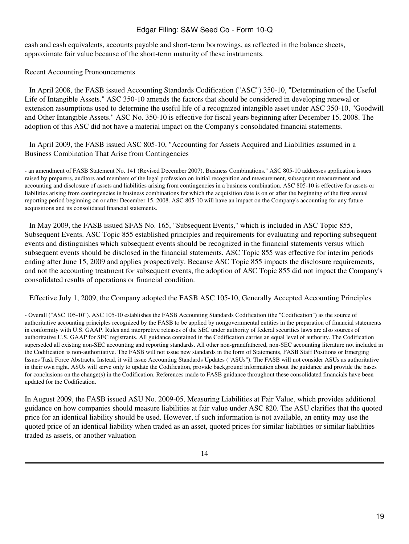cash and cash equivalents, accounts payable and short-term borrowings, as reflected in the balance sheets, approximate fair value because of the short-term maturity of these instruments.

Recent Accounting Pronouncements

 In April 2008, the FASB issued Accounting Standards Codification ("ASC") 350-10, "Determination of the Useful Life of Intangible Assets." ASC 350-10 amends the factors that should be considered in developing renewal or extension assumptions used to determine the useful life of a recognized intangible asset under ASC 350-10, "Goodwill and Other Intangible Assets." ASC No. 350-10 is effective for fiscal years beginning after December 15, 2008. The adoption of this ASC did not have a material impact on the Company's consolidated financial statements.

 In April 2009, the FASB issued ASC 805-10, "Accounting for Assets Acquired and Liabilities assumed in a Business Combination That Arise from Contingencies

- an amendment of FASB Statement No. 141 (Revised December 2007), Business Combinations." ASC 805-10 addresses application issues raised by preparers, auditors and members of the legal profession on initial recognition and measurement, subsequent measurement and accounting and disclosure of assets and liabilities arising from contingencies in a business combination. ASC 805-10 is effective for assets or liabilities arising from contingencies in business combinations for which the acquisition date is on or after the beginning of the first annual reporting period beginning on or after December 15, 2008. ASC 805-10 will have an impact on the Company's accounting for any future acquisitions and its consolidated financial statements.

 In May 2009, the FASB issued SFAS No. 165, "Subsequent Events," which is included in ASC Topic 855, Subsequent Events. ASC Topic 855 established principles and requirements for evaluating and reporting subsequent events and distinguishes which subsequent events should be recognized in the financial statements versus which subsequent events should be disclosed in the financial statements. ASC Topic 855 was effective for interim periods ending after June 15, 2009 and applies prospectively. Because ASC Topic 855 impacts the disclosure requirements, and not the accounting treatment for subsequent events, the adoption of ASC Topic 855 did not impact the Company's consolidated results of operations or financial condition.

 Effective July 1, 2009, the Company adopted the FASB ASC 105-10, Generally Accepted Accounting Principles

- Overall ("ASC 105-10"). ASC 105-10 establishes the FASB Accounting Standards Codification (the "Codification") as the source of authoritative accounting principles recognized by the FASB to be applied by nongovernmental entities in the preparation of financial statements in conformity with U.S. GAAP. Rules and interpretive releases of the SEC under authority of federal securities laws are also sources of authoritative U.S. GAAP for SEC registrants. All guidance contained in the Codification carries an equal level of authority. The Codification superseded all existing non-SEC accounting and reporting standards. All other non-grandfathered, non-SEC accounting literature not included in the Codification is non-authoritative. The FASB will not issue new standards in the form of Statements, FASB Staff Positions or Emerging Issues Task Force Abstracts. Instead, it will issue Accounting Standards Updates ("ASUs"). The FASB will not consider ASUs as authoritative in their own right. ASUs will serve only to update the Codification, provide background information about the guidance and provide the bases for conclusions on the change(s) in the Codification. References made to FASB guidance throughout these consolidated financials have been updated for the Codification.

In August 2009, the FASB issued ASU No. 2009-05, Measuring Liabilities at Fair Value, which provides additional guidance on how companies should measure liabilities at fair value under ASC 820. The ASU clarifies that the quoted price for an identical liability should be used. However, if such information is not available, an entity may use the quoted price of an identical liability when traded as an asset, quoted prices for similar liabilities or similar liabilities traded as assets, or another valuation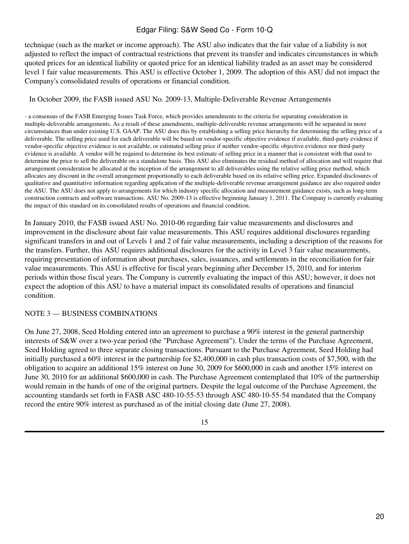technique (such as the market or income approach). The ASU also indicates that the fair value of a liability is not adjusted to reflect the impact of contractual restrictions that prevent its transfer and indicates circumstances in which quoted prices for an identical liability or quoted price for an identical liability traded as an asset may be considered level 1 fair value measurements. This ASU is effective October 1, 2009. The adoption of this ASU did not impact the Company's consolidated results of operations or financial condition.

### In October 2009, the FASB issued ASU No. 2009-13, Multiple-Deliverable Revenue Arrangements

- a consensus of the FASB Emerging Issues Task Force, which provides amendments to the criteria for separating consideration in multiple-deliverable arrangements. As a result of these amendments, multiple-deliverable revenue arrangements will be separated in more circumstances than under existing U.S. GAAP. The ASU does this by establishing a selling price hierarchy for determining the selling price of a deliverable. The selling price used for each deliverable will be based on vendor-specific objective evidence if available, third-party evidence if vendor-specific objective evidence is not available, or estimated selling price if neither vendor-specific objective evidence nor third-party evidence is available. A vendor will be required to determine its best estimate of selling price in a manner that is consistent with that used to determine the price to sell the deliverable on a standalone basis. This ASU also eliminates the residual method of allocation and will require that arrangement consideration be allocated at the inception of the arrangement to all deliverables using the relative selling price method, which allocates any discount in the overall arrangement proportionally to each deliverable based on its relative selling price. Expanded disclosures of qualitative and quantitative information regarding application of the multiple-deliverable revenue arrangement guidance are also required under the ASU. The ASU does not apply to arrangements for which industry specific allocation and measurement guidance exists, such as long-term construction contracts and software transactions. ASU No. 2009-13 is effective beginning January 1, 2011. The Company is currently evaluating the impact of this standard on its consolidated results of operations and financial condition.

In January 2010, the FASB issued ASU No. 2010-06 regarding fair value measurements and disclosures and improvement in the disclosure about fair value measurements. This ASU requires additional disclosures regarding significant transfers in and out of Levels 1 and 2 of fair value measurements, including a description of the reasons for the transfers. Further, this ASU requires additional disclosures for the activity in Level 3 fair value measurements, requiring presentation of information about purchases, sales, issuances, and settlements in the reconciliation for fair value measurements. This ASU is effective for fiscal years beginning after December 15, 2010, and for interim periods within those fiscal years. The Company is currently evaluating the impact of this ASU; however, it does not expect the adoption of this ASU to have a material impact its consolidated results of operations and financial condition.

# NOTE 3 — BUSINESS COMBINATIONS

On June 27, 2008, Seed Holding entered into an agreement to purchase a 90% interest in the general partnership interests of S&W over a two-year period (the "Purchase Agreement"). Under the terms of the Purchase Agreement, Seed Holding agreed to three separate closing transactions. Pursuant to the Purchase Agreement, Seed Holding had initially purchased a 60% interest in the partnership for \$2,400,000 in cash plus transaction costs of \$7,500, with the obligation to acquire an additional 15% interest on June 30, 2009 for \$600,000 in cash and another 15% interest on June 30, 2010 for an additional \$600,000 in cash. The Purchase Agreement contemplated that 10% of the partnership would remain in the hands of one of the original partners. Despite the legal outcome of the Purchase Agreement, the accounting standards set forth in FASB ASC 480-10-55-53 through ASC 480-10-55-54 mandated that the Company record the entire 90% interest as purchased as of the initial closing date (June 27, 2008).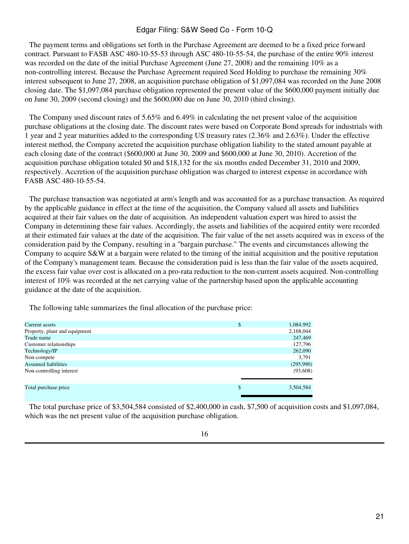The payment terms and obligations set forth in the Purchase Agreement are deemed to be a fixed price forward contract. Pursuant to FASB ASC 480-10-55-53 through ASC 480-10-55-54, the purchase of the entire 90% interest was recorded on the date of the initial Purchase Agreement (June 27, 2008) and the remaining 10% as a non-controlling interest. Because the Purchase Agreement required Seed Holding to purchase the remaining 30% interest subsequent to June 27, 2008, an acquisition purchase obligation of \$1,097,084 was recorded on the June 2008 closing date. The \$1,097,084 purchase obligation represented the present value of the \$600,000 payment initially due on June 30, 2009 (second closing) and the \$600,000 due on June 30, 2010 (third closing).

 The Company used discount rates of 5.65% and 6.49% in calculating the net present value of the acquisition purchase obligations at the closing date. The discount rates were based on Corporate Bond spreads for industrials with 1 year and 2 year maturities added to the corresponding US treasury rates (2.36% and 2.63%). Under the effective interest method, the Company accreted the acquisition purchase obligation liability to the stated amount payable at each closing date of the contract (\$600,000 at June 30, 2009 and \$600,000 at June 30, 2010). Accretion of the acquisition purchase obligation totaled \$0 and \$18,132 for the six months ended December 31, 2010 and 2009, respectively. Accretion of the acquisition purchase obligation was charged to interest expense in accordance with FASB ASC 480-10-55-54.

 The purchase transaction was negotiated at arm's length and was accounted for as a purchase transaction. As required by the applicable guidance in effect at the time of the acquisition, the Company valued all assets and liabilities acquired at their fair values on the date of acquisition. An independent valuation expert was hired to assist the Company in determining these fair values. Accordingly, the assets and liabilities of the acquired entity were recorded at their estimated fair values at the date of the acquisition. The fair value of the net assets acquired was in excess of the consideration paid by the Company, resulting in a "bargain purchase." The events and circumstances allowing the Company to acquire S&W at a bargain were related to the timing of the initial acquisition and the positive reputation of the Company's management team. Because the consideration paid is less than the fair value of the assets acquired, the excess fair value over cost is allocated on a pro-rata reduction to the non-current assets acquired. Non-controlling interest of 10% was recorded at the net carrying value of the partnership based upon the applicable accounting guidance at the date of the acquisition.

 The following table summarizes the final allocation of the purchase price:

| Current assets                | \$<br>1,084,992 |
|-------------------------------|-----------------|
| Property, plant and equipment | 2,168,044       |
| Trade name                    | 247,469         |
| Customer relationships        | 127,796         |
| Technology/IP                 | 262,090         |
| Non-compete                   | 3,791           |
| <b>Assumed liabilities</b>    | (295,990)       |
| Non-controlling interest      | (93,608)        |
| Total purchase price          | \$<br>3,504,584 |

 The total purchase price of \$3,504,584 consisted of \$2,400,000 in cash, \$7,500 of acquisition costs and \$1,097,084, which was the net present value of the acquisition purchase obligation.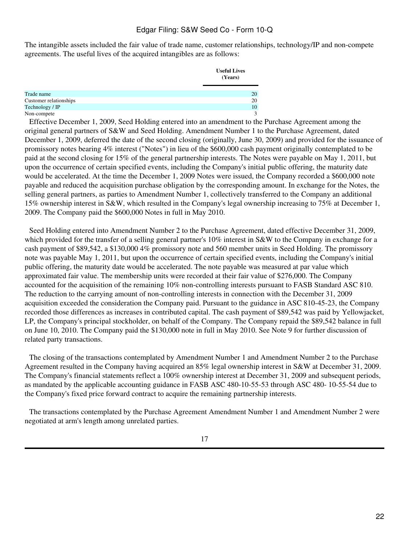The intangible assets included the fair value of trade name, customer relationships, technology/IP and non-compete agreements. The useful lives of the acquired intangibles are as follows:

|                        | <b>Useful Lives</b><br>(Years) |
|------------------------|--------------------------------|
| Trade name             | 20                             |
| Customer relationships | 20                             |
| Technology / IP        | 10                             |
| Non-compete            | ◠                              |

 Effective December 1, 2009, Seed Holding entered into an amendment to the Purchase Agreement among the original general partners of S&W and Seed Holding. Amendment Number 1 to the Purchase Agreement, dated December 1, 2009, deferred the date of the second closing (originally, June 30, 2009) and provided for the issuance of promissory notes bearing 4% interest ("Notes") in lieu of the \$600,000 cash payment originally contemplated to be paid at the second closing for 15% of the general partnership interests. The Notes were payable on May 1, 2011, but upon the occurrence of certain specified events, including the Company's initial public offering, the maturity date would be accelerated. At the time the December 1, 2009 Notes were issued, the Company recorded a \$600,000 note payable and reduced the acquisition purchase obligation by the corresponding amount. In exchange for the Notes, the selling general partners, as parties to Amendment Number 1, collectively transferred to the Company an additional 15% ownership interest in S&W, which resulted in the Company's legal ownership increasing to 75% at December 1, 2009. The Company paid the \$600,000 Notes in full in May 2010.

 Seed Holding entered into Amendment Number 2 to the Purchase Agreement, dated effective December 31, 2009, which provided for the transfer of a selling general partner's 10% interest in S&W to the Company in exchange for a cash payment of \$89,542, a \$130,000 4% promissory note and 560 member units in Seed Holding. The promissory note was payable May 1, 2011, but upon the occurrence of certain specified events, including the Company's initial public offering, the maturity date would be accelerated. The note payable was measured at par value which approximated fair value. The membership units were recorded at their fair value of \$276,000. The Company accounted for the acquisition of the remaining 10% non-controlling interests pursuant to FASB Standard ASC 810. The reduction to the carrying amount of non-controlling interests in connection with the December 31, 2009 acquisition exceeded the consideration the Company paid. Pursuant to the guidance in ASC 810-45-23, the Company recorded those differences as increases in contributed capital. The cash payment of \$89,542 was paid by Yellowjacket, LP, the Company's principal stockholder, on behalf of the Company. The Company repaid the \$89,542 balance in full on June 10, 2010. The Company paid the \$130,000 note in full in May 2010. See Note 9 for further discussion of related party transactions.

 The closing of the transactions contemplated by Amendment Number 1 and Amendment Number 2 to the Purchase Agreement resulted in the Company having acquired an 85% legal ownership interest in S&W at December 31, 2009. The Company's financial statements reflect a 100% ownership interest at December 31, 2009 and subsequent periods, as mandated by the applicable accounting guidance in FASB ASC 480-10-55-53 through ASC 480- 10-55-54 due to the Company's fixed price forward contract to acquire the remaining partnership interests.

 The transactions contemplated by the Purchase Agreement Amendment Number 1 and Amendment Number 2 were negotiated at arm's length among unrelated parties.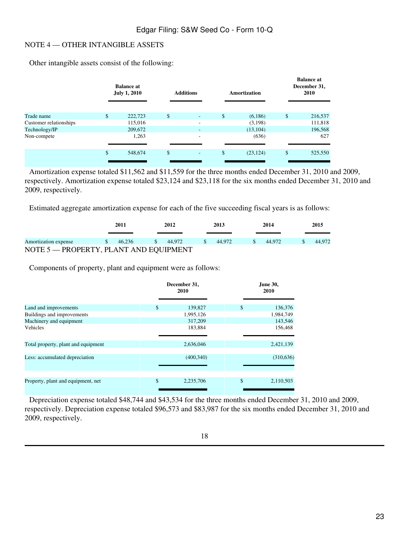#### NOTE 4 — OTHER INTANGIBLE ASSETS

 Other intangible assets consist of the following:

|                        | <b>Balance at</b><br><b>July 1, 2010</b> | <b>Additions</b>               |    | <b>Amortization</b> |    | <b>Balance</b> at<br>December 31,<br>2010 |
|------------------------|------------------------------------------|--------------------------------|----|---------------------|----|-------------------------------------------|
|                        |                                          |                                |    |                     |    |                                           |
| Trade name             | \$<br>222,723                            | \$<br>$\overline{\phantom{a}}$ | \$ | (6,186)             | \$ | 216,537                                   |
| Customer relationships | 115,016                                  |                                |    | (3,198)             |    | 111,818                                   |
| Technology/IP          | 209,672                                  |                                |    | (13, 104)           |    | 196,568                                   |
| Non-compete            | 1,263                                    | ۰                              |    | (636)               |    | 627                                       |
|                        | \$<br>548,674                            | \$<br>٠                        | \$ | (23, 124)           | \$ | 525,550                                   |

 Amortization expense totaled \$11,562 and \$11,559 for the three months ended December 31, 2010 and 2009, respectively. Amortization expense totaled \$23,124 and \$23,118 for the six months ended December 31, 2010 and 2009, respectively.

 Estimated aggregate amortization expense for each of the five succeeding fiscal years is as follows:

|                                        |    | 2011   | 2012                    |     | 2013   |       | 2014   |  | 2015   |
|----------------------------------------|----|--------|-------------------------|-----|--------|-------|--------|--|--------|
| Amortization expense                   | S. | 46.236 | $\frac{1}{2}$ \$ 44.972 | - S | 44.972 | - S - | 44.972 |  | 44.972 |
| NOTE 5 - PROPERTY, PLANT AND EQUIPMENT |    |        |                         |     |        |       |        |  |        |

 Components of property, plant and equipment were as follows:

| 2010            | June 30,<br>2010                     |            |  |
|-----------------|--------------------------------------|------------|--|
|                 |                                      | 136,376    |  |
|                 |                                      | 1,984,749  |  |
| 317,209         |                                      | 143,546    |  |
| 183,884         |                                      | 156,468    |  |
| 2,636,046       |                                      | 2,421,139  |  |
| (400, 340)      |                                      | (310, 636) |  |
|                 |                                      |            |  |
| \$<br>2,235,706 | \$                                   | 2,110,503  |  |
| $\mathbb{S}$    | December 31,<br>139,827<br>1,995,126 | \$         |  |

 Depreciation expense totaled \$48,744 and \$43,534 for the three months ended December 31, 2010 and 2009, respectively. Depreciation expense totaled \$96,573 and \$83,987 for the six months ended December 31, 2010 and 2009, respectively.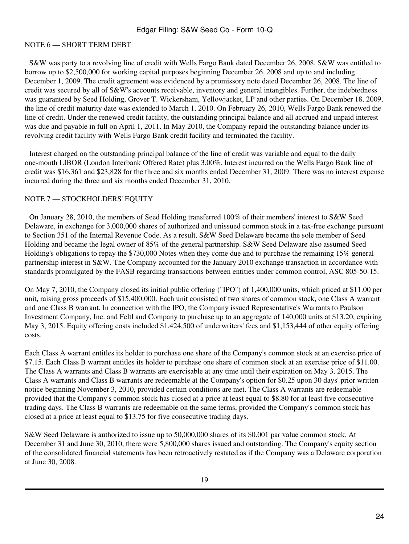# NOTE 6 — SHORT TERM DEBT

 S&W was party to a revolving line of credit with Wells Fargo Bank dated December 26, 2008. S&W was entitled to borrow up to \$2,500,000 for working capital purposes beginning December 26, 2008 and up to and including December 1, 2009. The credit agreement was evidenced by a promissory note dated December 26, 2008. The line of credit was secured by all of S&W's accounts receivable, inventory and general intangibles. Further, the indebtedness was guaranteed by Seed Holding, Grover T. Wickersham, Yellowjacket, LP and other parties. On December 18, 2009, the line of credit maturity date was extended to March 1, 2010. On February 26, 2010, Wells Fargo Bank renewed the line of credit. Under the renewed credit facility, the outstanding principal balance and all accrued and unpaid interest was due and payable in full on April 1, 2011. In May 2010, the Company repaid the outstanding balance under its revolving credit facility with Wells Fargo Bank credit facility and terminated the facility.

 Interest charged on the outstanding principal balance of the line of credit was variable and equal to the daily one-month LIBOR (London Interbank Offered Rate) plus 3.00%. Interest incurred on the Wells Fargo Bank line of credit was \$16,361 and \$23,828 for the three and six months ended December 31, 2009. There was no interest expense incurred during the three and six months ended December 31, 2010.

### NOTE 7 — STOCKHOLDERS' EQUITY

 On January 28, 2010, the members of Seed Holding transferred 100% of their members' interest to S&W Seed Delaware, in exchange for 3,000,000 shares of authorized and unissued common stock in a tax-free exchange pursuant to Section 351 of the Internal Revenue Code. As a result, S&W Seed Delaware became the sole member of Seed Holding and became the legal owner of 85% of the general partnership. S&W Seed Delaware also assumed Seed Holding's obligations to repay the \$730,000 Notes when they come due and to purchase the remaining 15% general partnership interest in S&W. The Company accounted for the January 2010 exchange transaction in accordance with standards promulgated by the FASB regarding transactions between entities under common control, ASC 805-50-15.

On May 7, 2010, the Company closed its initial public offering ("IPO") of 1,400,000 units, which priced at \$11.00 per unit, raising gross proceeds of \$15,400,000. Each unit consisted of two shares of common stock, one Class A warrant and one Class B warrant. In connection with the IPO, the Company issued Representative's Warrants to Paulson Investment Company, Inc. and Feltl and Company to purchase up to an aggregate of 140,000 units at \$13.20, expiring May 3, 2015. Equity offering costs included \$1,424,500 of underwriters' fees and \$1,153,444 of other equity offering costs.

Each Class A warrant entitles its holder to purchase one share of the Company's common stock at an exercise price of \$7.15. Each Class B warrant entitles its holder to purchase one share of common stock at an exercise price of \$11.00. The Class A warrants and Class B warrants are exercisable at any time until their expiration on May 3, 2015. The Class A warrants and Class B warrants are redeemable at the Company's option for \$0.25 upon 30 days' prior written notice beginning November 3, 2010, provided certain conditions are met. The Class A warrants are redeemable provided that the Company's common stock has closed at a price at least equal to \$8.80 for at least five consecutive trading days. The Class B warrants are redeemable on the same terms, provided the Company's common stock has closed at a price at least equal to \$13.75 for five consecutive trading days.

S&W Seed Delaware is authorized to issue up to 50,000,000 shares of its \$0.001 par value common stock. At December 31 and June 30, 2010, there were 5,800,000 shares issued and outstanding. The Company's equity section of the consolidated financial statements has been retroactively restated as if the Company was a Delaware corporation at June 30, 2008.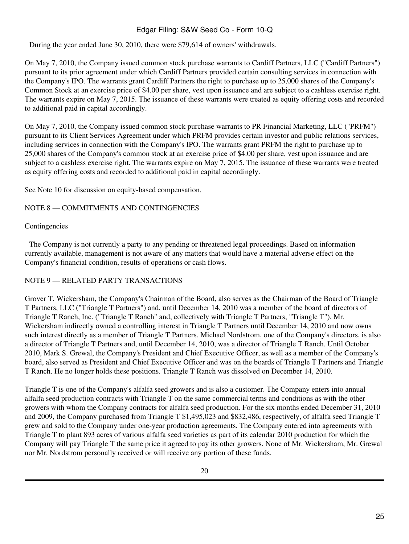During the year ended June 30, 2010, there were \$79,614 of owners' withdrawals.

On May 7, 2010, the Company issued common stock purchase warrants to Cardiff Partners, LLC ("Cardiff Partners") pursuant to its prior agreement under which Cardiff Partners provided certain consulting services in connection with the Company's IPO. The warrants grant Cardiff Partners the right to purchase up to 25,000 shares of the Company's Common Stock at an exercise price of \$4.00 per share, vest upon issuance and are subject to a cashless exercise right. The warrants expire on May 7, 2015. The issuance of these warrants were treated as equity offering costs and recorded to additional paid in capital accordingly.

On May 7, 2010, the Company issued common stock purchase warrants to PR Financial Marketing, LLC ("PRFM") pursuant to its Client Services Agreement under which PRFM provides certain investor and public relations services, including services in connection with the Company's IPO. The warrants grant PRFM the right to purchase up to 25,000 shares of the Company's common stock at an exercise price of \$4.00 per share, vest upon issuance and are subject to a cashless exercise right. The warrants expire on May 7, 2015. The issuance of these warrants were treated as equity offering costs and recorded to additional paid in capital accordingly.

See Note 10 for discussion on equity-based compensation.

# NOTE 8 — COMMITMENTS AND CONTINGENCIES

#### Contingencies

 The Company is not currently a party to any pending or threatened legal proceedings. Based on information currently available, management is not aware of any matters that would have a material adverse effect on the Company's financial condition, results of operations or cash flows.

# NOTE 9 — RELATED PARTY TRANSACTIONS

Grover T. Wickersham, the Company's Chairman of the Board, also serves as the Chairman of the Board of Triangle T Partners, LLC ("Triangle T Partners") and, until December 14, 2010 was a member of the board of directors of Triangle T Ranch, Inc. ("Triangle T Ranch" and, collectively with Triangle T Partners, "Triangle T"). Mr. Wickersham indirectly owned a controlling interest in Triangle T Partners until December 14, 2010 and now owns such interest directly as a member of Triangle T Partners. Michael Nordstrom, one of the Company's directors, is also a director of Triangle T Partners and, until December 14, 2010, was a director of Triangle T Ranch. Until October 2010, Mark S. Grewal, the Company's President and Chief Executive Officer, as well as a member of the Company's board, also served as President and Chief Executive Officer and was on the boards of Triangle T Partners and Triangle T Ranch. He no longer holds these positions. Triangle T Ranch was dissolved on December 14, 2010.

Triangle T is one of the Company's alfalfa seed growers and is also a customer. The Company enters into annual alfalfa seed production contracts with Triangle T on the same commercial terms and conditions as with the other growers with whom the Company contracts for alfalfa seed production. For the six months ended December 31, 2010 and 2009, the Company purchased from Triangle T \$1,495,023 and \$832,486, respectively, of alfalfa seed Triangle T grew and sold to the Company under one-year production agreements. The Company entered into agreements with Triangle T to plant 893 acres of various alfalfa seed varieties as part of its calendar 2010 production for which the Company will pay Triangle T the same price it agreed to pay its other growers. None of Mr. Wickersham, Mr. Grewal nor Mr. Nordstrom personally received or will receive any portion of these funds.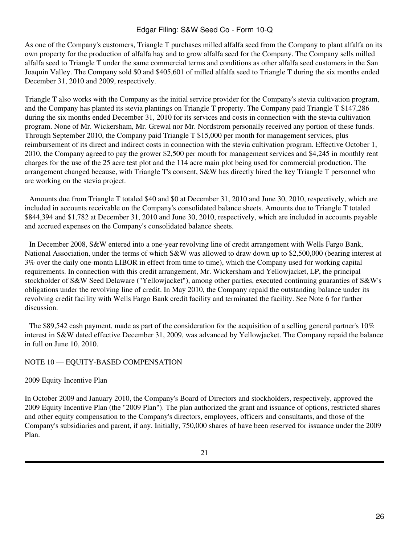As one of the Company's customers, Triangle T purchases milled alfalfa seed from the Company to plant alfalfa on its own property for the production of alfalfa hay and to grow alfalfa seed for the Company. The Company sells milled alfalfa seed to Triangle T under the same commercial terms and conditions as other alfalfa seed customers in the San Joaquin Valley. The Company sold \$0 and \$405,601 of milled alfalfa seed to Triangle T during the six months ended December 31, 2010 and 2009, respectively.

Triangle T also works with the Company as the initial service provider for the Company's stevia cultivation program, and the Company has planted its stevia plantings on Triangle T property. The Company paid Triangle T \$147,286 during the six months ended December 31, 2010 for its services and costs in connection with the stevia cultivation program. None of Mr. Wickersham, Mr. Grewal nor Mr. Nordstrom personally received any portion of these funds. Through September 2010, the Company paid Triangle T \$15,000 per month for management services, plus reimbursement of its direct and indirect costs in connection with the stevia cultivation program. Effective October 1, 2010, the Company agreed to pay the grower \$2,500 per month for management services and \$4,245 in monthly rent charges for the use of the 25 acre test plot and the 114 acre main plot being used for commercial production. The arrangement changed because, with Triangle T's consent, S&W has directly hired the key Triangle T personnel who are working on the stevia project.

 Amounts due from Triangle T totaled \$40 and \$0 at December 31, 2010 and June 30, 2010, respectively, which are included in accounts receivable on the Company's consolidated balance sheets. Amounts due to Triangle T totaled \$844,394 and \$1,782 at December 31, 2010 and June 30, 2010, respectively, which are included in accounts payable and accrued expenses on the Company's consolidated balance sheets.

 In December 2008, S&W entered into a one-year revolving line of credit arrangement with Wells Fargo Bank, National Association, under the terms of which S&W was allowed to draw down up to \$2,500,000 (bearing interest at 3% over the daily one-month LIBOR in effect from time to time), which the Company used for working capital requirements. In connection with this credit arrangement, Mr. Wickersham and Yellowjacket, LP, the principal stockholder of S&W Seed Delaware ("Yellowjacket"), among other parties, executed continuing guaranties of S&W's obligations under the revolving line of credit. In May 2010, the Company repaid the outstanding balance under its revolving credit facility with Wells Fargo Bank credit facility and terminated the facility. See Note 6 for further discussion.

 The \$89,542 cash payment, made as part of the consideration for the acquisition of a selling general partner's 10% interest in S&W dated effective December 31, 2009, was advanced by Yellowjacket. The Company repaid the balance in full on June 10, 2010.

# NOTE 10 — EQUITY-BASED COMPENSATION

# 2009 Equity Incentive Plan

In October 2009 and January 2010, the Company's Board of Directors and stockholders, respectively, approved the 2009 Equity Incentive Plan (the "2009 Plan"). The plan authorized the grant and issuance of options, restricted shares and other equity compensation to the Company's directors, employees, officers and consultants, and those of the Company's subsidiaries and parent, if any. Initially, 750,000 shares of have been reserved for issuance under the 2009 Plan.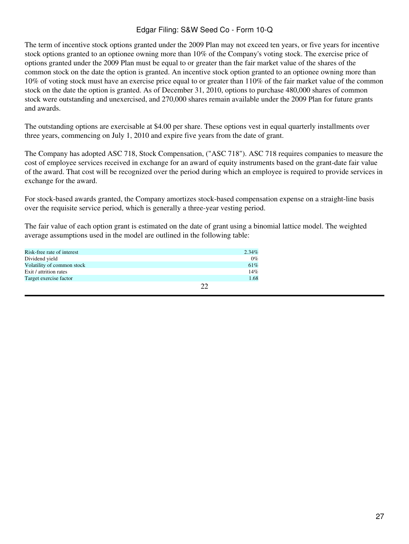The term of incentive stock options granted under the 2009 Plan may not exceed ten years, or five years for incentive stock options granted to an optionee owning more than 10% of the Company's voting stock. The exercise price of options granted under the 2009 Plan must be equal to or greater than the fair market value of the shares of the common stock on the date the option is granted. An incentive stock option granted to an optionee owning more than 10% of voting stock must have an exercise price equal to or greater than 110% of the fair market value of the common stock on the date the option is granted. As of December 31, 2010, options to purchase 480,000 shares of common stock were outstanding and unexercised, and 270,000 shares remain available under the 2009 Plan for future grants and awards.

The outstanding options are exercisable at \$4.00 per share. These options vest in equal quarterly installments over three years, commencing on July 1, 2010 and expire five years from the date of grant.

The Company has adopted ASC 718, Stock Compensation, ("ASC 718"). ASC 718 requires companies to measure the cost of employee services received in exchange for an award of equity instruments based on the grant-date fair value of the award. That cost will be recognized over the period during which an employee is required to provide services in exchange for the award.

For stock-based awards granted, the Company amortizes stock-based compensation expense on a straight-line basis over the requisite service period, which is generally a three-year vesting period.

The fair value of each option grant is estimated on the date of grant using a binomial lattice model. The weighted average assumptions used in the model are outlined in the following table:

| Risk-free rate of interest | 2.34% |
|----------------------------|-------|
| Dividend yield             | 0%    |
| Volatility of common stock | 61%   |
| Exit / attrition rates     | 14%   |
| Target exercise factor     | 1.68  |
|                            |       |
|                            |       |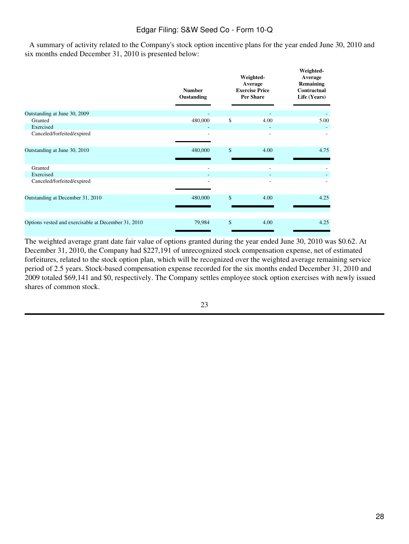A summary of activity related to the Company's stock option incentive plans for the year ended June 30, 2010 and six months ended December 31, 2010 is presented below:

|                                                     | <b>Number</b><br>Oustanding | Weighted-<br>Average<br><b>Exercise Price</b><br><b>Per Share</b> | Weighted-<br>Average<br>Remaining<br>Contractual<br>Life (Years) |
|-----------------------------------------------------|-----------------------------|-------------------------------------------------------------------|------------------------------------------------------------------|
| Outstanding at June 30, 2009                        |                             |                                                                   |                                                                  |
| Granted                                             | 480,000                     | \$<br>4.00                                                        | 5.00                                                             |
| Exercised                                           |                             |                                                                   |                                                                  |
| Canceled/forfeited/expired                          |                             |                                                                   |                                                                  |
| Outstanding at June 30, 2010                        | 480,000                     | \$<br>4.00                                                        | 4.75                                                             |
| Granted                                             | $\overline{a}$              |                                                                   |                                                                  |
| Exercised                                           |                             |                                                                   |                                                                  |
| Canceled/forfeited/expired                          |                             |                                                                   |                                                                  |
| Outstanding at December 31, 2010                    | 480,000                     | \$<br>4.00                                                        | 4.25                                                             |
| Options vested and exercisable at December 31, 2010 | 79,984                      | \$<br>4.00                                                        | 4.25                                                             |

The weighted average grant date fair value of options granted during the year ended June 30, 2010 was \$0.62. At December 31, 2010, the Company had \$227,191 of unrecognized stock compensation expense, net of estimated forfeitures, related to the stock option plan, which will be recognized over the weighted average remaining service period of 2.5 years. Stock-based compensation expense recorded for the six months ended December 31, 2010 and 2009 totaled \$69,141 and \$0, respectively. The Company settles employee stock option exercises with newly issued shares of common stock.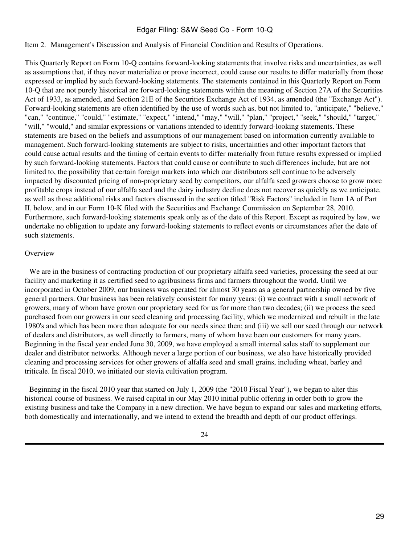#### <span id="page-28-0"></span>Item 2. Management's Discussion and Analysis of Financial Condition and Results of Operations.

This Quarterly Report on Form 10-Q contains forward-looking statements that involve risks and uncertainties, as well as assumptions that, if they never materialize or prove incorrect, could cause our results to differ materially from those expressed or implied by such forward-looking statements. The statements contained in this Quarterly Report on Form 10-Q that are not purely historical are forward-looking statements within the meaning of Section 27A of the Securities Act of 1933, as amended, and Section 21E of the Securities Exchange Act of 1934, as amended (the "Exchange Act"). Forward-looking statements are often identified by the use of words such as, but not limited to, "anticipate," "believe," "can," "continue," "could," "estimate," "expect," "intend," "may," "will," "plan," "project," "seek," "should," "target," "will," "would," and similar expressions or variations intended to identify forward-looking statements. These statements are based on the beliefs and assumptions of our management based on information currently available to management. Such forward-looking statements are subject to risks, uncertainties and other important factors that could cause actual results and the timing of certain events to differ materially from future results expressed or implied by such forward-looking statements. Factors that could cause or contribute to such differences include, but are not limited to, the possibility that certain foreign markets into which our distributors sell continue to be adversely impacted by discounted pricing of non-proprietary seed by competitors, our alfalfa seed growers choose to grow more profitable crops instead of our alfalfa seed and the dairy industry decline does not recover as quickly as we anticipate, as well as those additional risks and factors discussed in the section titled "Risk Factors" included in Item 1A of Part II, below, and in our Form 10-K filed with the Securities and Exchange Commission on September 28, 2010. Furthermore, such forward-looking statements speak only as of the date of this Report. Except as required by law, we undertake no obligation to update any forward-looking statements to reflect events or circumstances after the date of such statements.

#### **Overview**

 We are in the business of contracting production of our proprietary alfalfa seed varieties, processing the seed at our facility and marketing it as certified seed to agribusiness firms and farmers throughout the world. Until we incorporated in October 2009, our business was operated for almost 30 years as a general partnership owned by five general partners. Our business has been relatively consistent for many years: (i) we contract with a small network of growers, many of whom have grown our proprietary seed for us for more than two decades; (ii) we process the seed purchased from our growers in our seed cleaning and processing facility, which we modernized and rebuilt in the late 1980's and which has been more than adequate for our needs since then; and (iii) we sell our seed through our network of dealers and distributors, as well directly to farmers, many of whom have been our customers for many years. Beginning in the fiscal year ended June 30, 2009, we have employed a small internal sales staff to supplement our dealer and distributor networks. Although never a large portion of our business, we also have historically provided cleaning and processing services for other growers of alfalfa seed and small grains, including wheat, barley and triticale. In fiscal 2010, we initiated our stevia cultivation program.

 Beginning in the fiscal 2010 year that started on July 1, 2009 (the "2010 Fiscal Year"), we began to alter this historical course of business. We raised capital in our May 2010 initial public offering in order both to grow the existing business and take the Company in a new direction. We have begun to expand our sales and marketing efforts, both domestically and internationally, and we intend to extend the breadth and depth of our product offerings.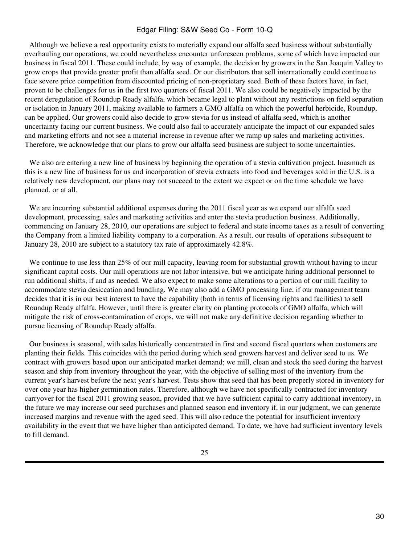Although we believe a real opportunity exists to materially expand our alfalfa seed business without substantially overhauling our operations, we could nevertheless encounter unforeseen problems, some of which have impacted our business in fiscal 2011. These could include, by way of example, the decision by growers in the San Joaquin Valley to grow crops that provide greater profit than alfalfa seed. Or our distributors that sell internationally could continue to face severe price competition from discounted pricing of non-proprietary seed. Both of these factors have, in fact, proven to be challenges for us in the first two quarters of fiscal 2011. We also could be negatively impacted by the recent deregulation of Roundup Ready alfalfa, which became legal to plant without any restrictions on field separation or isolation in January 2011, making available to farmers a GMO alfalfa on which the powerful herbicide, Roundup, can be applied. Our growers could also decide to grow stevia for us instead of alfalfa seed, which is another uncertainty facing our current business. We could also fail to accurately anticipate the impact of our expanded sales and marketing efforts and not see a material increase in revenue after we ramp up sales and marketing activities. Therefore, we acknowledge that our plans to grow our alfalfa seed business are subject to some uncertainties.

We also are entering a new line of business by beginning the operation of a stevia cultivation project. Inasmuch as this is a new line of business for us and incorporation of stevia extracts into food and beverages sold in the U.S. is a relatively new development, our plans may not succeed to the extent we expect or on the time schedule we have planned, or at all.

We are incurring substantial additional expenses during the 2011 fiscal year as we expand our alfalfa seed development, processing, sales and marketing activities and enter the stevia production business. Additionally, commencing on January 28, 2010, our operations are subject to federal and state income taxes as a result of converting the Company from a limited liability company to a corporation. As a result, our results of operations subsequent to January 28, 2010 are subject to a statutory tax rate of approximately 42.8%.

We continue to use less than 25% of our mill capacity, leaving room for substantial growth without having to incur significant capital costs. Our mill operations are not labor intensive, but we anticipate hiring additional personnel to run additional shifts, if and as needed. We also expect to make some alterations to a portion of our mill facility to accommodate stevia desiccation and bundling. We may also add a GMO processing line, if our management team decides that it is in our best interest to have the capability (both in terms of licensing rights and facilities) to sell Roundup Ready alfalfa. However, until there is greater clarity on planting protocols of GMO alfalfa, which will mitigate the risk of cross-contamination of crops, we will not make any definitive decision regarding whether to pursue licensing of Roundup Ready alfalfa.

 Our business is seasonal, with sales historically concentrated in first and second fiscal quarters when customers are planting their fields. This coincides with the period during which seed growers harvest and deliver seed to us. We contract with growers based upon our anticipated market demand; we mill, clean and stock the seed during the harvest season and ship from inventory throughout the year, with the objective of selling most of the inventory from the current year's harvest before the next year's harvest. Tests show that seed that has been properly stored in inventory for over one year has higher germination rates. Therefore, although we have not specifically contracted for inventory carryover for the fiscal 2011 growing season, provided that we have sufficient capital to carry additional inventory, in the future we may increase our seed purchases and planned season end inventory if, in our judgment, we can generate increased margins and revenue with the aged seed. This will also reduce the potential for insufficient inventory availability in the event that we have higher than anticipated demand. To date, we have had sufficient inventory levels to fill demand.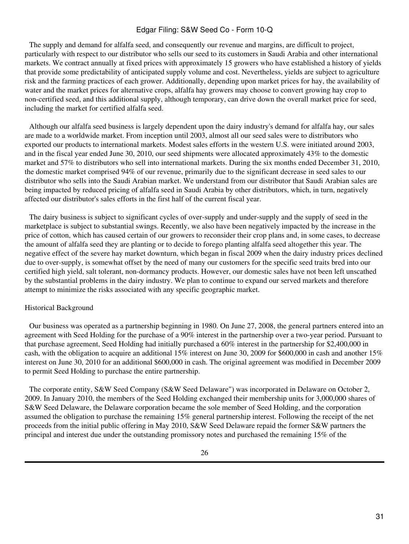The supply and demand for alfalfa seed, and consequently our revenue and margins, are difficult to project, particularly with respect to our distributor who sells our seed to its customers in Saudi Arabia and other international markets. We contract annually at fixed prices with approximately 15 growers who have established a history of yields that provide some predictability of anticipated supply volume and cost. Nevertheless, yields are subject to agriculture risk and the farming practices of each grower. Additionally, depending upon market prices for hay, the availability of water and the market prices for alternative crops, alfalfa hay growers may choose to convert growing hay crop to non-certified seed, and this additional supply, although temporary, can drive down the overall market price for seed, including the market for certified alfalfa seed.

 Although our alfalfa seed business is largely dependent upon the dairy industry's demand for alfalfa hay, our sales are made to a worldwide market. From inception until 2003, almost all our seed sales were to distributors who exported our products to international markets. Modest sales efforts in the western U.S. were initiated around 2003, and in the fiscal year ended June 30, 2010, our seed shipments were allocated approximately 43% to the domestic market and 57% to distributors who sell into international markets. During the six months ended December 31, 2010, the domestic market comprised 94% of our revenue, primarily due to the significant decrease in seed sales to our distributor who sells into the Saudi Arabian market. We understand from our distributor that Saudi Arabian sales are being impacted by reduced pricing of alfalfa seed in Saudi Arabia by other distributors, which, in turn, negatively affected our distributor's sales efforts in the first half of the current fiscal year.

 The dairy business is subject to significant cycles of over-supply and under-supply and the supply of seed in the marketplace is subject to substantial swings. Recently, we also have been negatively impacted by the increase in the price of cotton, which has caused certain of our growers to reconsider their crop plans and, in some cases, to decrease the amount of alfalfa seed they are planting or to decide to forego planting alfalfa seed altogether this year. The negative effect of the severe hay market downturn, which began in fiscal 2009 when the dairy industry prices declined due to over-supply, is somewhat offset by the need of many our customers for the specific seed traits bred into our certified high yield, salt tolerant, non-dormancy products. However, our domestic sales have not been left unscathed by the substantial problems in the dairy industry. We plan to continue to expand our served markets and therefore attempt to minimize the risks associated with any specific geographic market.

#### Historical Background

 Our business was operated as a partnership beginning in 1980. On June 27, 2008, the general partners entered into an agreement with Seed Holding for the purchase of a 90% interest in the partnership over a two-year period. Pursuant to that purchase agreement, Seed Holding had initially purchased a 60% interest in the partnership for \$2,400,000 in cash, with the obligation to acquire an additional 15% interest on June 30, 2009 for \$600,000 in cash and another 15% interest on June 30, 2010 for an additional \$600,000 in cash. The original agreement was modified in December 2009 to permit Seed Holding to purchase the entire partnership.

 The corporate entity, S&W Seed Company (S&W Seed Delaware") was incorporated in Delaware on October 2, 2009. In January 2010, the members of the Seed Holding exchanged their membership units for 3,000,000 shares of S&W Seed Delaware, the Delaware corporation became the sole member of Seed Holding, and the corporation assumed the obligation to purchase the remaining 15% general partnership interest. Following the receipt of the net proceeds from the initial public offering in May 2010, S&W Seed Delaware repaid the former S&W partners the principal and interest due under the outstanding promissory notes and purchased the remaining 15% of the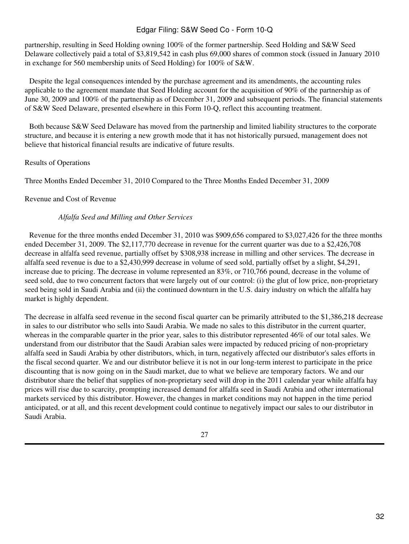partnership, resulting in Seed Holding owning 100% of the former partnership. Seed Holding and S&W Seed Delaware collectively paid a total of \$3,819,542 in cash plus 69,000 shares of common stock (issued in January 2010 in exchange for 560 membership units of Seed Holding) for 100% of S&W.

 Despite the legal consequences intended by the purchase agreement and its amendments, the accounting rules applicable to the agreement mandate that Seed Holding account for the acquisition of 90% of the partnership as of June 30, 2009 and 100% of the partnership as of December 31, 2009 and subsequent periods. The financial statements of S&W Seed Delaware, presented elsewhere in this Form 10-Q, reflect this accounting treatment.

 Both because S&W Seed Delaware has moved from the partnership and limited liability structures to the corporate structure, and because it is entering a new growth mode that it has not historically pursued, management does not believe that historical financial results are indicative of future results.

# Results of Operations

Three Months Ended December 31, 2010 Compared to the Three Months Ended December 31, 2009

### Revenue and Cost of Revenue

### *Alfalfa Seed and Milling and Other Services*

 Revenue for the three months ended December 31, 2010 was \$909,656 compared to \$3,027,426 for the three months ended December 31, 2009. The \$2,117,770 decrease in revenue for the current quarter was due to a \$2,426,708 decrease in alfalfa seed revenue, partially offset by \$308,938 increase in milling and other services. The decrease in alfalfa seed revenue is due to a \$2,430,999 decrease in volume of seed sold, partially offset by a slight, \$4,291, increase due to pricing. The decrease in volume represented an 83%, or 710,766 pound, decrease in the volume of seed sold, due to two concurrent factors that were largely out of our control: (i) the glut of low price, non-proprietary seed being sold in Saudi Arabia and (ii) the continued downturn in the U.S. dairy industry on which the alfalfa hay market is highly dependent.

The decrease in alfalfa seed revenue in the second fiscal quarter can be primarily attributed to the \$1,386,218 decrease in sales to our distributor who sells into Saudi Arabia. We made no sales to this distributor in the current quarter, whereas in the comparable quarter in the prior year, sales to this distributor represented 46% of our total sales. We understand from our distributor that the Saudi Arabian sales were impacted by reduced pricing of non-proprietary alfalfa seed in Saudi Arabia by other distributors, which, in turn, negatively affected our distributor's sales efforts in the fiscal second quarter. We and our distributor believe it is not in our long-term interest to participate in the price discounting that is now going on in the Saudi market, due to what we believe are temporary factors. We and our distributor share the belief that supplies of non-proprietary seed will drop in the 2011 calendar year while alfalfa hay prices will rise due to scarcity, prompting increased demand for alfalfa seed in Saudi Arabia and other international markets serviced by this distributor. However, the changes in market conditions may not happen in the time period anticipated, or at all, and this recent development could continue to negatively impact our sales to our distributor in Saudi Arabia.

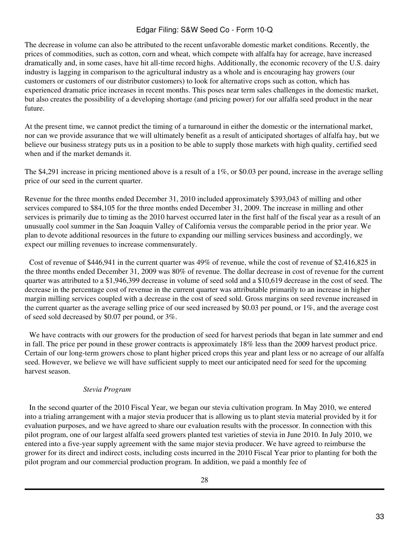The decrease in volume can also be attributed to the recent unfavorable domestic market conditions. Recently, the prices of commodities, such as cotton, corn and wheat, which compete with alfalfa hay for acreage, have increased dramatically and, in some cases, have hit all-time record highs. Additionally, the economic recovery of the U.S. dairy industry is lagging in comparison to the agricultural industry as a whole and is encouraging hay growers (our customers or customers of our distributor customers) to look for alternative crops such as cotton, which has experienced dramatic price increases in recent months. This poses near term sales challenges in the domestic market, but also creates the possibility of a developing shortage (and pricing power) for our alfalfa seed product in the near future.

At the present time, we cannot predict the timing of a turnaround in either the domestic or the international market, nor can we provide assurance that we will ultimately benefit as a result of anticipated shortages of alfalfa hay, but we believe our business strategy puts us in a position to be able to supply those markets with high quality, certified seed when and if the market demands it.

The \$4,291 increase in pricing mentioned above is a result of a 1%, or \$0.03 per pound, increase in the average selling price of our seed in the current quarter.

Revenue for the three months ended December 31, 2010 included approximately \$393,043 of milling and other services compared to \$84,105 for the three months ended December 31, 2009. The increase in milling and other services is primarily due to timing as the 2010 harvest occurred later in the first half of the fiscal year as a result of an unusually cool summer in the San Joaquin Valley of California versus the comparable period in the prior year. We plan to devote additional resources in the future to expanding our milling services business and accordingly, we expect our milling revenues to increase commensurately.

 Cost of revenue of \$446,941 in the current quarter was 49% of revenue, while the cost of revenue of \$2,416,825 in the three months ended December 31, 2009 was 80% of revenue. The dollar decrease in cost of revenue for the current quarter was attributed to a \$1,946,399 decrease in volume of seed sold and a \$10,619 decrease in the cost of seed. The decrease in the percentage cost of revenue in the current quarter was attributable primarily to an increase in higher margin milling services coupled with a decrease in the cost of seed sold. Gross margins on seed revenue increased in the current quarter as the average selling price of our seed increased by \$0.03 per pound, or 1%, and the average cost of seed sold decreased by \$0.07 per pound, or 3%.

 We have contracts with our growers for the production of seed for harvest periods that began in late summer and end in fall. The price per pound in these grower contracts is approximately 18% less than the 2009 harvest product price. Certain of our long-term growers chose to plant higher priced crops this year and plant less or no acreage of our alfalfa seed. However, we believe we will have sufficient supply to meet our anticipated need for seed for the upcoming harvest season.

# *Stevia Program*

 In the second quarter of the 2010 Fiscal Year, we began our stevia cultivation program. In May 2010, we entered into a trialing arrangement with a major stevia producer that is allowing us to plant stevia material provided by it for evaluation purposes, and we have agreed to share our evaluation results with the processor. In connection with this pilot program, one of our largest alfalfa seed growers planted test varieties of stevia in June 2010. In July 2010, we entered into a five-year supply agreement with the same major stevia producer. We have agreed to reimburse the grower for its direct and indirect costs, including costs incurred in the 2010 Fiscal Year prior to planting for both the pilot program and our commercial production program. In addition, we paid a monthly fee of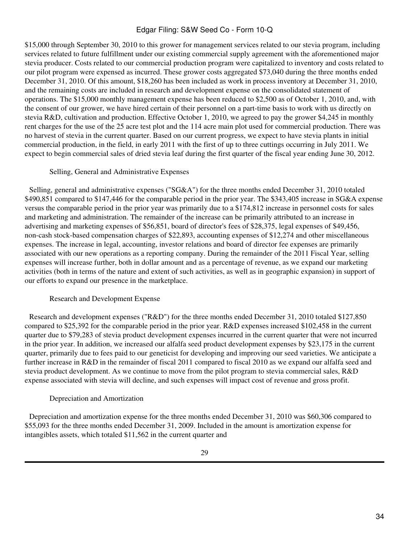\$15,000 through September 30, 2010 to this grower for management services related to our stevia program, including services related to future fulfillment under our existing commercial supply agreement with the aforementioned major stevia producer. Costs related to our commercial production program were capitalized to inventory and costs related to our pilot program were expensed as incurred. These grower costs aggregated \$73,040 during the three months ended December 31, 2010. Of this amount, \$18,260 has been included as work in process inventory at December 31, 2010, and the remaining costs are included in research and development expense on the consolidated statement of operations. The \$15,000 monthly management expense has been reduced to \$2,500 as of October 1, 2010, and, with the consent of our grower, we have hired certain of their personnel on a part-time basis to work with us directly on stevia R&D, cultivation and production. Effective October 1, 2010, we agreed to pay the grower \$4,245 in monthly rent charges for the use of the 25 acre test plot and the 114 acre main plot used for commercial production. There was no harvest of stevia in the current quarter. Based on our current progress, we expect to have stevia plants in initial commercial production, in the field, in early 2011 with the first of up to three cuttings occurring in July 2011. We expect to begin commercial sales of dried stevia leaf during the first quarter of the fiscal year ending June 30, 2012.

#### Selling, General and Administrative Expenses

 Selling, general and administrative expenses ("SG&A") for the three months ended December 31, 2010 totaled \$490,851 compared to \$147,446 for the comparable period in the prior year. The \$343,405 increase in SG&A expense versus the comparable period in the prior year was primarily due to a \$174,812 increase in personnel costs for sales and marketing and administration. The remainder of the increase can be primarily attributed to an increase in advertising and marketing expenses of \$56,851, board of director's fees of \$28,375, legal expenses of \$49,456, non-cash stock-based compensation charges of \$22,893, accounting expenses of \$12,274 and other miscellaneous expenses. The increase in legal, accounting, investor relations and board of director fee expenses are primarily associated with our new operations as a reporting company. During the remainder of the 2011 Fiscal Year, selling expenses will increase further, both in dollar amount and as a percentage of revenue, as we expand our marketing activities (both in terms of the nature and extent of such activities, as well as in geographic expansion) in support of our efforts to expand our presence in the marketplace.

#### Research and Development Expense

 Research and development expenses ("R&D") for the three months ended December 31, 2010 totaled \$127,850 compared to \$25,392 for the comparable period in the prior year. R&D expenses increased \$102,458 in the current quarter due to \$79,283 of stevia product development expenses incurred in the current quarter that were not incurred in the prior year. In addition, we increased our alfalfa seed product development expenses by \$23,175 in the current quarter, primarily due to fees paid to our geneticist for developing and improving our seed varieties. We anticipate a further increase in R&D in the remainder of fiscal 2011 compared to fiscal 2010 as we expand our alfalfa seed and stevia product development. As we continue to move from the pilot program to stevia commercial sales, R&D expense associated with stevia will decline, and such expenses will impact cost of revenue and gross profit.

#### Depreciation and Amortization

 Depreciation and amortization expense for the three months ended December 31, 2010 was \$60,306 compared to \$55,093 for the three months ended December 31, 2009. Included in the amount is amortization expense for intangibles assets, which totaled \$11,562 in the current quarter and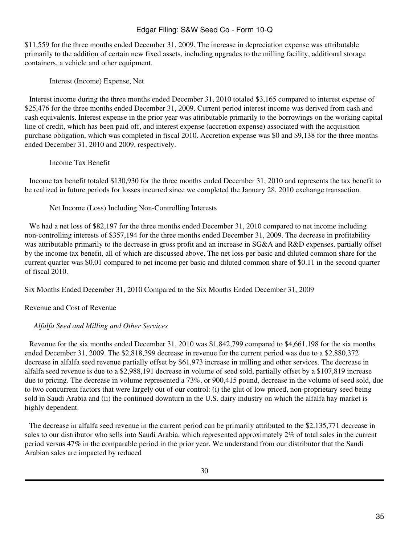\$11,559 for the three months ended December 31, 2009. The increase in depreciation expense was attributable primarily to the addition of certain new fixed assets, including upgrades to the milling facility, additional storage containers, a vehicle and other equipment.

Interest (Income) Expense, Net

 Interest income during the three months ended December 31, 2010 totaled \$3,165 compared to interest expense of \$25,476 for the three months ended December 31, 2009. Current period interest income was derived from cash and cash equivalents. Interest expense in the prior year was attributable primarily to the borrowings on the working capital line of credit, which has been paid off, and interest expense (accretion expense) associated with the acquisition purchase obligation, which was completed in fiscal 2010. Accretion expense was \$0 and \$9,138 for the three months ended December 31, 2010 and 2009, respectively.

Income Tax Benefit

 Income tax benefit totaled \$130,930 for the three months ended December 31, 2010 and represents the tax benefit to be realized in future periods for losses incurred since we completed the January 28, 2010 exchange transaction.

Net Income (Loss) Including Non-Controlling Interests

We had a net loss of \$82,197 for the three months ended December 31, 2010 compared to net income including non-controlling interests of \$357,194 for the three months ended December 31, 2009. The decrease in profitability was attributable primarily to the decrease in gross profit and an increase in SG&A and R&D expenses, partially offset by the income tax benefit, all of which are discussed above. The net loss per basic and diluted common share for the current quarter was \$0.01 compared to net income per basic and diluted common share of \$0.11 in the second quarter of fiscal 2010.

Six Months Ended December 31, 2010 Compared to the Six Months Ended December 31, 2009

Revenue and Cost of Revenue

# *Alfalfa Seed and Milling and Other Services*

 Revenue for the six months ended December 31, 2010 was \$1,842,799 compared to \$4,661,198 for the six months ended December 31, 2009. The \$2,818,399 decrease in revenue for the current period was due to a \$2,880,372 decrease in alfalfa seed revenue partially offset by \$61,973 increase in milling and other services. The decrease in alfalfa seed revenue is due to a \$2,988,191 decrease in volume of seed sold, partially offset by a \$107,819 increase due to pricing. The decrease in volume represented a 73%, or 900,415 pound, decrease in the volume of seed sold, due to two concurrent factors that were largely out of our control: (i) the glut of low priced, non-proprietary seed being sold in Saudi Arabia and (ii) the continued downturn in the U.S. dairy industry on which the alfalfa hay market is highly dependent.

 The decrease in alfalfa seed revenue in the current period can be primarily attributed to the \$2,135,771 decrease in sales to our distributor who sells into Saudi Arabia, which represented approximately 2% of total sales in the current period versus 47% in the comparable period in the prior year. We understand from our distributor that the Saudi Arabian sales are impacted by reduced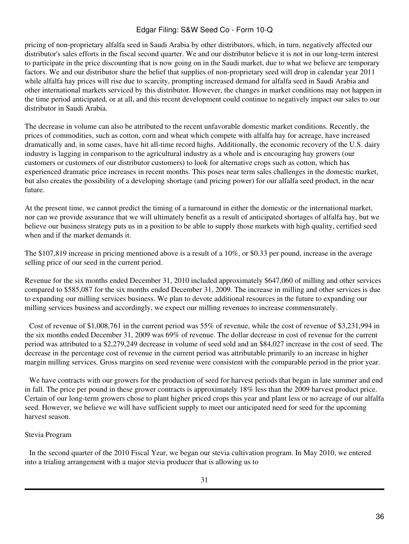pricing of non-proprietary alfalfa seed in Saudi Arabia by other distributors, which, in turn, negatively affected our distributor's sales efforts in the fiscal second quarter. We and our distributor believe it is not in our long-term interest to participate in the price discounting that is now going on in the Saudi market, due to what we believe are temporary factors. We and our distributor share the belief that supplies of non-proprietary seed will drop in calendar year 2011 while alfalfa hay prices will rise due to scarcity, prompting increased demand for alfalfa seed in Saudi Arabia and other international markets serviced by this distributor. However, the changes in market conditions may not happen in the time period anticipated, or at all, and this recent development could continue to negatively impact our sales to our distributor in Saudi Arabia.

The decrease in volume can also be attributed to the recent unfavorable domestic market conditions. Recently, the prices of commodities, such as cotton, corn and wheat which compete with alfalfa hay for acreage, have increased dramatically and, in some cases, have hit all-time record highs. Additionally, the economic recovery of the U.S. dairy industry is lagging in comparison to the agricultural industry as a whole and is encouraging hay growers (our customers or customers of our distributor customers) to look for alternative crops such as cotton, which has experienced dramatic price increases in recent months. This poses near term sales challenges in the domestic market, but also creates the possibility of a developing shortage (and pricing power) for our alfalfa seed product, in the near future.

At the present time, we cannot predict the timing of a turnaround in either the domestic or the international market, nor can we provide assurance that we will ultimately benefit as a result of anticipated shortages of alfalfa hay, but we believe our business strategy puts us in a position to be able to supply those markets with high quality, certified seed when and if the market demands it.

The \$107,819 increase in pricing mentioned above is a result of a 10%, or \$0.33 per pound, increase in the average selling price of our seed in the current period.

Revenue for the six months ended December 31, 2010 included approximately \$647,060 of milling and other services compared to \$585,087 for the six months ended December 31, 2009. The increase in milling and other services is due to expanding our milling services business. We plan to devote additional resources in the future to expanding our milling services business and accordingly, we expect our milling revenues to increase commensurately.

 Cost of revenue of \$1,008,761 in the current period was 55% of revenue, while the cost of revenue of \$3,231,994 in the six months ended December 31, 2009 was 69% of revenue. The dollar decrease in cost of revenue for the current period was attributed to a \$2,279,249 decrease in volume of seed sold and an \$84,027 increase in the cost of seed. The decrease in the percentage cost of revenue in the current period was attributable primarily to an increase in higher margin milling services. Gross margins on seed revenue were consistent with the comparable period in the prior year.

 We have contracts with our growers for the production of seed for harvest periods that began in late summer and end in fall. The price per pound in these grower contracts is approximately 18% less than the 2009 harvest product price. Certain of our long-term growers chose to plant higher priced crops this year and plant less or no acreage of our alfalfa seed. However, we believe we will have sufficient supply to meet our anticipated need for seed for the upcoming harvest season.

# Stevia Program

 In the second quarter of the 2010 Fiscal Year, we began our stevia cultivation program. In May 2010, we entered into a trialing arrangement with a major stevia producer that is allowing us to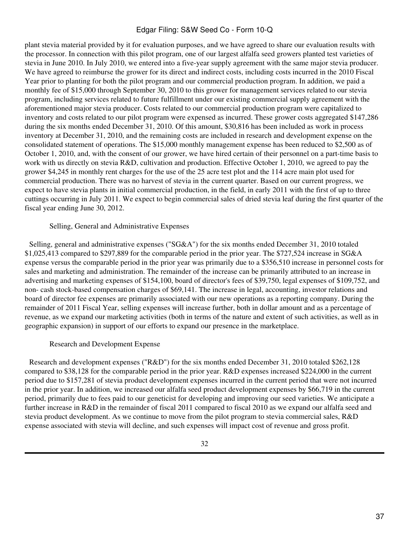plant stevia material provided by it for evaluation purposes, and we have agreed to share our evaluation results with the processor. In connection with this pilot program, one of our largest alfalfa seed growers planted test varieties of stevia in June 2010. In July 2010, we entered into a five-year supply agreement with the same major stevia producer. We have agreed to reimburse the grower for its direct and indirect costs, including costs incurred in the 2010 Fiscal Year prior to planting for both the pilot program and our commercial production program. In addition, we paid a monthly fee of \$15,000 through September 30, 2010 to this grower for management services related to our stevia program, including services related to future fulfillment under our existing commercial supply agreement with the aforementioned major stevia producer. Costs related to our commercial production program were capitalized to inventory and costs related to our pilot program were expensed as incurred. These grower costs aggregated \$147,286 during the six months ended December 31, 2010. Of this amount, \$30,816 has been included as work in process inventory at December 31, 2010, and the remaining costs are included in research and development expense on the consolidated statement of operations. The \$15,000 monthly management expense has been reduced to \$2,500 as of October 1, 2010, and, with the consent of our grower, we have hired certain of their personnel on a part-time basis to work with us directly on stevia R&D, cultivation and production. Effective October 1, 2010, we agreed to pay the grower \$4,245 in monthly rent charges for the use of the 25 acre test plot and the 114 acre main plot used for commercial production. There was no harvest of stevia in the current quarter. Based on our current progress, we expect to have stevia plants in initial commercial production, in the field, in early 2011 with the first of up to three cuttings occurring in July 2011. We expect to begin commercial sales of dried stevia leaf during the first quarter of the fiscal year ending June 30, 2012.

#### Selling, General and Administrative Expenses

 Selling, general and administrative expenses ("SG&A") for the six months ended December 31, 2010 totaled \$1,025,413 compared to \$297,889 for the comparable period in the prior year. The \$727,524 increase in SG&A expense versus the comparable period in the prior year was primarily due to a \$356,510 increase in personnel costs for sales and marketing and administration. The remainder of the increase can be primarily attributed to an increase in advertising and marketing expenses of \$154,100, board of director's fees of \$39,750, legal expenses of \$109,752, and non- cash stock-based compensation charges of \$69,141. The increase in legal, accounting, investor relations and board of director fee expenses are primarily associated with our new operations as a reporting company. During the remainder of 2011 Fiscal Year, selling expenses will increase further, both in dollar amount and as a percentage of revenue, as we expand our marketing activities (both in terms of the nature and extent of such activities, as well as in geographic expansion) in support of our efforts to expand our presence in the marketplace.

#### Research and Development Expense

 Research and development expenses ("R&D") for the six months ended December 31, 2010 totaled \$262,128 compared to \$38,128 for the comparable period in the prior year. R&D expenses increased \$224,000 in the current period due to \$157,281 of stevia product development expenses incurred in the current period that were not incurred in the prior year. In addition, we increased our alfalfa seed product development expenses by \$66,719 in the current period, primarily due to fees paid to our geneticist for developing and improving our seed varieties. We anticipate a further increase in R&D in the remainder of fiscal 2011 compared to fiscal 2010 as we expand our alfalfa seed and stevia product development. As we continue to move from the pilot program to stevia commercial sales, R&D expense associated with stevia will decline, and such expenses will impact cost of revenue and gross profit.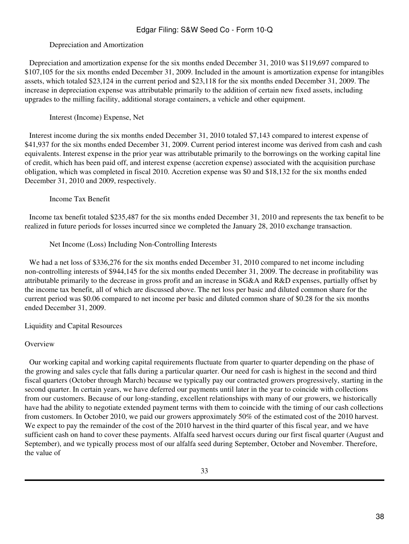# Depreciation and Amortization

 Depreciation and amortization expense for the six months ended December 31, 2010 was \$119,697 compared to \$107,105 for the six months ended December 31, 2009. Included in the amount is amortization expense for intangibles assets, which totaled \$23,124 in the current period and \$23,118 for the six months ended December 31, 2009. The increase in depreciation expense was attributable primarily to the addition of certain new fixed assets, including upgrades to the milling facility, additional storage containers, a vehicle and other equipment.

Interest (Income) Expense, Net

 Interest income during the six months ended December 31, 2010 totaled \$7,143 compared to interest expense of \$41,937 for the six months ended December 31, 2009. Current period interest income was derived from cash and cash equivalents. Interest expense in the prior year was attributable primarily to the borrowings on the working capital line of credit, which has been paid off, and interest expense (accretion expense) associated with the acquisition purchase obligation, which was completed in fiscal 2010. Accretion expense was \$0 and \$18,132 for the six months ended December 31, 2010 and 2009, respectively.

Income Tax Benefit

 Income tax benefit totaled \$235,487 for the six months ended December 31, 2010 and represents the tax benefit to be realized in future periods for losses incurred since we completed the January 28, 2010 exchange transaction.

Net Income (Loss) Including Non-Controlling Interests

We had a net loss of \$336,276 for the six months ended December 31, 2010 compared to net income including non-controlling interests of \$944,145 for the six months ended December 31, 2009. The decrease in profitability was attributable primarily to the decrease in gross profit and an increase in SG&A and R&D expenses, partially offset by the income tax benefit, all of which are discussed above. The net loss per basic and diluted common share for the current period was \$0.06 compared to net income per basic and diluted common share of \$0.28 for the six months ended December 31, 2009.

Liquidity and Capital Resources

# **Overview**

 Our working capital and working capital requirements fluctuate from quarter to quarter depending on the phase of the growing and sales cycle that falls during a particular quarter. Our need for cash is highest in the second and third fiscal quarters (October through March) because we typically pay our contracted growers progressively, starting in the second quarter. In certain years, we have deferred our payments until later in the year to coincide with collections from our customers. Because of our long-standing, excellent relationships with many of our growers, we historically have had the ability to negotiate extended payment terms with them to coincide with the timing of our cash collections from customers. In October 2010, we paid our growers approximately 50% of the estimated cost of the 2010 harvest. We expect to pay the remainder of the cost of the 2010 harvest in the third quarter of this fiscal year, and we have sufficient cash on hand to cover these payments. Alfalfa seed harvest occurs during our first fiscal quarter (August and September), and we typically process most of our alfalfa seed during September, October and November. Therefore, the value of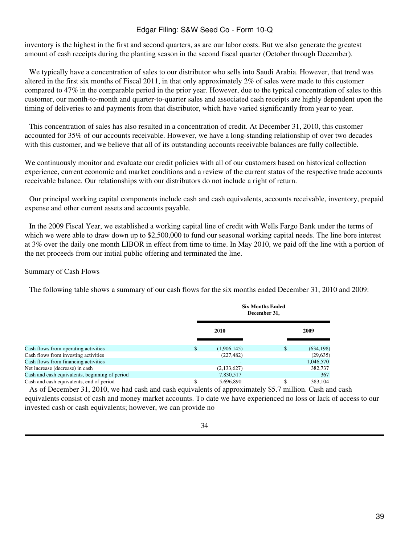inventory is the highest in the first and second quarters, as are our labor costs. But we also generate the greatest amount of cash receipts during the planting season in the second fiscal quarter (October through December).

 We typically have a concentration of sales to our distributor who sells into Saudi Arabia. However, that trend was altered in the first six months of Fiscal 2011, in that only approximately 2% of sales were made to this customer compared to 47% in the comparable period in the prior year. However, due to the typical concentration of sales to this customer, our month-to-month and quarter-to-quarter sales and associated cash receipts are highly dependent upon the timing of deliveries to and payments from that distributor, which have varied significantly from year to year.

 This concentration of sales has also resulted in a concentration of credit. At December 31, 2010, this customer accounted for 35% of our accounts receivable. However, we have a long-standing relationship of over two decades with this customer, and we believe that all of its outstanding accounts receivable balances are fully collectible.

We continuously monitor and evaluate our credit policies with all of our customers based on historical collection experience, current economic and market conditions and a review of the current status of the respective trade accounts receivable balance. Our relationships with our distributors do not include a right of return.

 Our principal working capital components include cash and cash equivalents, accounts receivable, inventory, prepaid expense and other current assets and accounts payable.

 In the 2009 Fiscal Year, we established a working capital line of credit with Wells Fargo Bank under the terms of which we were able to draw down up to \$2,500,000 to fund our seasonal working capital needs. The line bore interest at 3% over the daily one month LIBOR in effect from time to time. In May 2010, we paid off the line with a portion of the net proceeds from our initial public offering and terminated the line.

### Summary of Cash Flows

 The following table shows a summary of our cash flows for the six months ended December 31, 2010 and 2009:

|                                                | <b>Six Months Ended</b><br>December 31, |    |            |  |
|------------------------------------------------|-----------------------------------------|----|------------|--|
|                                                | 2010                                    |    | 2009       |  |
| Cash flows from operating activities           | \$<br>(1,906,145)                       | \$ | (634, 198) |  |
| Cash flows from investing activities           | (227, 482)                              |    | (29, 635)  |  |
| Cash flows from financing activities           |                                         |    | 1,046,570  |  |
| Net increase (decrease) in cash                | (2, 133, 627)                           |    | 382,737    |  |
| Cash and cash equivalents, beginning of period | 7,830,517                               |    | 367        |  |
| Cash and cash equivalents, end of period       | \$<br>5,696,890                         | \$ | 383.104    |  |

 As of December 31, 2010, we had cash and cash equivalents of approximately \$5.7 million. Cash and cash equivalents consist of cash and money market accounts. To date we have experienced no loss or lack of access to our invested cash or cash equivalents; however, we can provide no

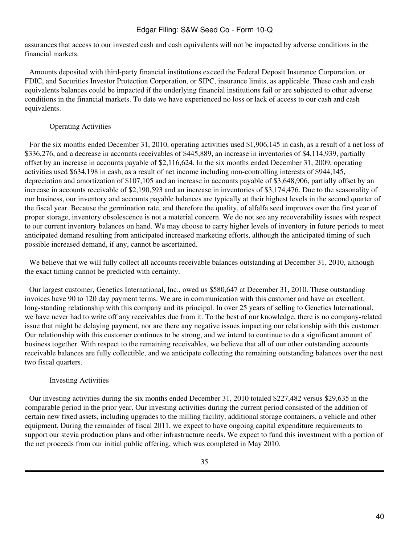assurances that access to our invested cash and cash equivalents will not be impacted by adverse conditions in the financial markets.

 Amounts deposited with third-party financial institutions exceed the Federal Deposit Insurance Corporation, or FDIC, and Securities Investor Protection Corporation, or SIPC, insurance limits, as applicable. These cash and cash equivalents balances could be impacted if the underlying financial institutions fail or are subjected to other adverse conditions in the financial markets. To date we have experienced no loss or lack of access to our cash and cash equivalents.

# Operating Activities

 For the six months ended December 31, 2010, operating activities used \$1,906,145 in cash, as a result of a net loss of \$336,276, and a decrease in accounts receivables of \$445,889, an increase in inventories of \$4,114,939, partially offset by an increase in accounts payable of \$2,116,624. In the six months ended December 31, 2009, operating activities used \$634,198 in cash, as a result of net income including non-controlling interests of \$944,145, depreciation and amortization of \$107,105 and an increase in accounts payable of \$3,648,906, partially offset by an increase in accounts receivable of \$2,190,593 and an increase in inventories of \$3,174,476. Due to the seasonality of our business, our inventory and accounts payable balances are typically at their highest levels in the second quarter of the fiscal year. Because the germination rate, and therefore the quality, of alfalfa seed improves over the first year of proper storage, inventory obsolescence is not a material concern. We do not see any recoverability issues with respect to our current inventory balances on hand. We may choose to carry higher levels of inventory in future periods to meet anticipated demand resulting from anticipated increased marketing efforts, although the anticipated timing of such possible increased demand, if any, cannot be ascertained.

We believe that we will fully collect all accounts receivable balances outstanding at December 31, 2010, although the exact timing cannot be predicted with certainty.

 Our largest customer, Genetics International, Inc., owed us \$580,647 at December 31, 2010. These outstanding invoices have 90 to 120 day payment terms. We are in communication with this customer and have an excellent, long-standing relationship with this company and its principal. In over 25 years of selling to Genetics International, we have never had to write off any receivables due from it. To the best of our knowledge, there is no company-related issue that might be delaying payment, nor are there any negative issues impacting our relationship with this customer. Our relationship with this customer continues to be strong, and we intend to continue to do a significant amount of business together. With respect to the remaining receivables, we believe that all of our other outstanding accounts receivable balances are fully collectible, and we anticipate collecting the remaining outstanding balances over the next two fiscal quarters.

# Investing Activities

 Our investing activities during the six months ended December 31, 2010 totaled \$227,482 versus \$29,635 in the comparable period in the prior year. Our investing activities during the current period consisted of the addition of certain new fixed assets, including upgrades to the milling facility, additional storage containers, a vehicle and other equipment. During the remainder of fiscal 2011, we expect to have ongoing capital expenditure requirements to support our stevia production plans and other infrastructure needs. We expect to fund this investment with a portion of the net proceeds from our initial public offering, which was completed in May 2010.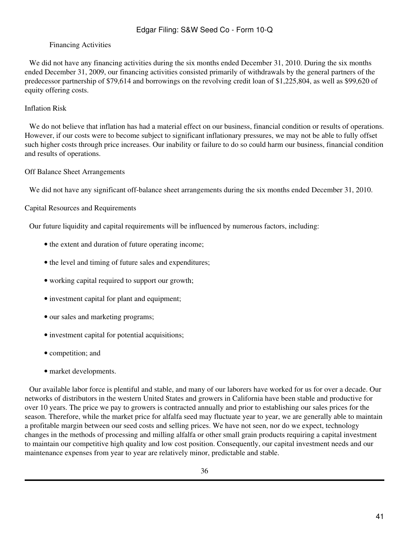### Financing Activities

We did not have any financing activities during the six months ended December 31, 2010. During the six months ended December 31, 2009, our financing activities consisted primarily of withdrawals by the general partners of the predecessor partnership of \$79,614 and borrowings on the revolving credit loan of \$1,225,804, as well as \$99,620 of equity offering costs.

### Inflation Risk

We do not believe that inflation has had a material effect on our business, financial condition or results of operations. However, if our costs were to become subject to significant inflationary pressures, we may not be able to fully offset such higher costs through price increases. Our inability or failure to do so could harm our business, financial condition and results of operations.

### Off Balance Sheet Arrangements

We did not have any significant off-balance sheet arrangements during the six months ended December 31, 2010.

### Capital Resources and Requirements

 Our future liquidity and capital requirements will be influenced by numerous factors, including:

- the extent and duration of future operating income;
- the level and timing of future sales and expenditures;
- working capital required to support our growth;
- investment capital for plant and equipment;
- our sales and marketing programs;
- investment capital for potential acquisitions;
- competition; and
- market developments.

 Our available labor force is plentiful and stable, and many of our laborers have worked for us for over a decade. Our networks of distributors in the western United States and growers in California have been stable and productive for over 10 years. The price we pay to growers is contracted annually and prior to establishing our sales prices for the season. Therefore, while the market price for alfalfa seed may fluctuate year to year, we are generally able to maintain a profitable margin between our seed costs and selling prices. We have not seen, nor do we expect, technology changes in the methods of processing and milling alfalfa or other small grain products requiring a capital investment to maintain our competitive high quality and low cost position. Consequently, our capital investment needs and our maintenance expenses from year to year are relatively minor, predictable and stable.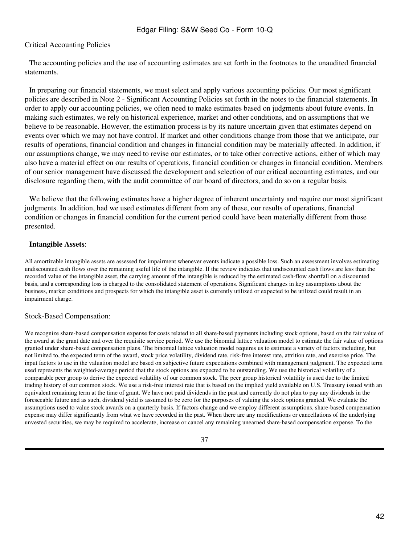### Critical Accounting Policies

 The accounting policies and the use of accounting estimates are set forth in the footnotes to the unaudited financial statements.

 In preparing our financial statements, we must select and apply various accounting policies. Our most significant policies are described in Note 2 - Significant Accounting Policies set forth in the notes to the financial statements. In order to apply our accounting policies, we often need to make estimates based on judgments about future events. In making such estimates, we rely on historical experience, market and other conditions, and on assumptions that we believe to be reasonable. However, the estimation process is by its nature uncertain given that estimates depend on events over which we may not have control. If market and other conditions change from those that we anticipate, our results of operations, financial condition and changes in financial condition may be materially affected. In addition, if our assumptions change, we may need to revise our estimates, or to take other corrective actions, either of which may also have a material effect on our results of operations, financial condition or changes in financial condition. Members of our senior management have discussed the development and selection of our critical accounting estimates, and our disclosure regarding them, with the audit committee of our board of directors, and do so on a regular basis.

We believe that the following estimates have a higher degree of inherent uncertainty and require our most significant judgments. In addition, had we used estimates different from any of these, our results of operations, financial condition or changes in financial condition for the current period could have been materially different from those presented.

### **Intangible Assets**:

All amortizable intangible assets are assessed for impairment whenever events indicate a possible loss. Such an assessment involves estimating undiscounted cash flows over the remaining useful life of the intangible. If the review indicates that undiscounted cash flows are less than the recorded value of the intangible asset, the carrying amount of the intangible is reduced by the estimated cash-flow shortfall on a discounted basis, and a corresponding loss is charged to the consolidated statement of operations. Significant changes in key assumptions about the business, market conditions and prospects for which the intangible asset is currently utilized or expected to be utilized could result in an impairment charge.

#### Stock-Based Compensation:

We recognize share-based compensation expense for costs related to all share-based payments including stock options, based on the fair value of the award at the grant date and over the requisite service period. We use the binomial lattice valuation model to estimate the fair value of options granted under share-based compensation plans. The binomial lattice valuation model requires us to estimate a variety of factors including, but not limited to, the expected term of the award, stock price volatility, dividend rate, risk-free interest rate, attrition rate, and exercise price. The input factors to use in the valuation model are based on subjective future expectations combined with management judgment. The expected term used represents the weighted-average period that the stock options are expected to be outstanding. We use the historical volatility of a comparable peer group to derive the expected volatility of our common stock. The peer group historical volatility is used due to the limited trading history of our common stock. We use a risk-free interest rate that is based on the implied yield available on U.S. Treasury issued with an equivalent remaining term at the time of grant. We have not paid dividends in the past and currently do not plan to pay any dividends in the foreseeable future and as such, dividend yield is assumed to be zero for the purposes of valuing the stock options granted. We evaluate the assumptions used to value stock awards on a quarterly basis. If factors change and we employ different assumptions, share-based compensation expense may differ significantly from what we have recorded in the past. When there are any modifications or cancellations of the underlying unvested securities, we may be required to accelerate, increase or cancel any remaining unearned share-based compensation expense. To the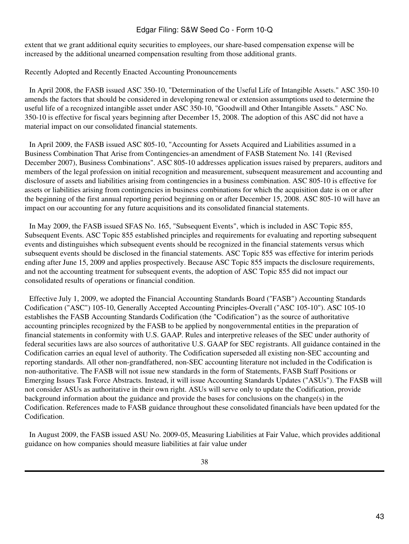extent that we grant additional equity securities to employees, our share-based compensation expense will be increased by the additional unearned compensation resulting from those additional grants.

Recently Adopted and Recently Enacted Accounting Pronouncements

 In April 2008, the FASB issued ASC 350-10, "Determination of the Useful Life of Intangible Assets." ASC 350-10 amends the factors that should be considered in developing renewal or extension assumptions used to determine the useful life of a recognized intangible asset under ASC 350-10, "Goodwill and Other Intangible Assets." ASC No. 350-10 is effective for fiscal years beginning after December 15, 2008. The adoption of this ASC did not have a material impact on our consolidated financial statements.

 In April 2009, the FASB issued ASC 805-10, "Accounting for Assets Acquired and Liabilities assumed in a Business Combination That Arise from Contingencies-an amendment of FASB Statement No. 141 (Revised December 2007), Business Combinations". ASC 805-10 addresses application issues raised by preparers, auditors and members of the legal profession on initial recognition and measurement, subsequent measurement and accounting and disclosure of assets and liabilities arising from contingencies in a business combination. ASC 805-10 is effective for assets or liabilities arising from contingencies in business combinations for which the acquisition date is on or after the beginning of the first annual reporting period beginning on or after December 15, 2008. ASC 805-10 will have an impact on our accounting for any future acquisitions and its consolidated financial statements.

 In May 2009, the FASB issued SFAS No. 165, "Subsequent Events", which is included in ASC Topic 855, Subsequent Events. ASC Topic 855 established principles and requirements for evaluating and reporting subsequent events and distinguishes which subsequent events should be recognized in the financial statements versus which subsequent events should be disclosed in the financial statements. ASC Topic 855 was effective for interim periods ending after June 15, 2009 and applies prospectively. Because ASC Topic 855 impacts the disclosure requirements, and not the accounting treatment for subsequent events, the adoption of ASC Topic 855 did not impact our consolidated results of operations or financial condition.

 Effective July 1, 2009, we adopted the Financial Accounting Standards Board ("FASB") Accounting Standards Codification ("ASC") 105-10, Generally Accepted Accounting Principles-Overall ("ASC 105-10"). ASC 105-10 establishes the FASB Accounting Standards Codification (the "Codification") as the source of authoritative accounting principles recognized by the FASB to be applied by nongovernmental entities in the preparation of financial statements in conformity with U.S. GAAP. Rules and interpretive releases of the SEC under authority of federal securities laws are also sources of authoritative U.S. GAAP for SEC registrants. All guidance contained in the Codification carries an equal level of authority. The Codification superseded all existing non-SEC accounting and reporting standards. All other non-grandfathered, non-SEC accounting literature not included in the Codification is non-authoritative. The FASB will not issue new standards in the form of Statements, FASB Staff Positions or Emerging Issues Task Force Abstracts. Instead, it will issue Accounting Standards Updates ("ASUs"). The FASB will not consider ASUs as authoritative in their own right. ASUs will serve only to update the Codification, provide background information about the guidance and provide the bases for conclusions on the change(s) in the Codification. References made to FASB guidance throughout these consolidated financials have been updated for the Codification.

 In August 2009, the FASB issued ASU No. 2009-05, Measuring Liabilities at Fair Value, which provides additional guidance on how companies should measure liabilities at fair value under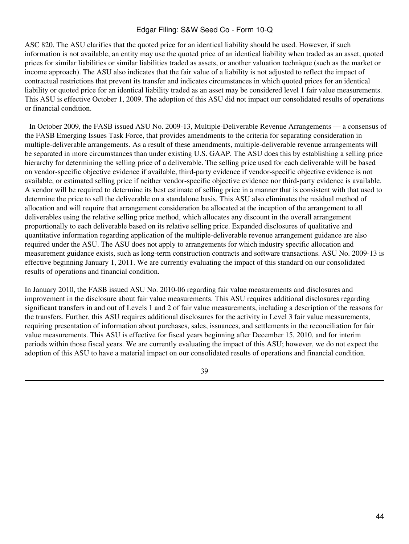ASC 820. The ASU clarifies that the quoted price for an identical liability should be used. However, if such information is not available, an entity may use the quoted price of an identical liability when traded as an asset, quoted prices for similar liabilities or similar liabilities traded as assets, or another valuation technique (such as the market or income approach). The ASU also indicates that the fair value of a liability is not adjusted to reflect the impact of contractual restrictions that prevent its transfer and indicates circumstances in which quoted prices for an identical liability or quoted price for an identical liability traded as an asset may be considered level 1 fair value measurements. This ASU is effective October 1, 2009. The adoption of this ASU did not impact our consolidated results of operations or financial condition.

 In October 2009, the FASB issued ASU No. 2009-13, Multiple-Deliverable Revenue Arrangements — a consensus of the FASB Emerging Issues Task Force, that provides amendments to the criteria for separating consideration in multiple-deliverable arrangements. As a result of these amendments, multiple-deliverable revenue arrangements will be separated in more circumstances than under existing U.S. GAAP. The ASU does this by establishing a selling price hierarchy for determining the selling price of a deliverable. The selling price used for each deliverable will be based on vendor-specific objective evidence if available, third-party evidence if vendor-specific objective evidence is not available, or estimated selling price if neither vendor-specific objective evidence nor third-party evidence is available. A vendor will be required to determine its best estimate of selling price in a manner that is consistent with that used to determine the price to sell the deliverable on a standalone basis. This ASU also eliminates the residual method of allocation and will require that arrangement consideration be allocated at the inception of the arrangement to all deliverables using the relative selling price method, which allocates any discount in the overall arrangement proportionally to each deliverable based on its relative selling price. Expanded disclosures of qualitative and quantitative information regarding application of the multiple-deliverable revenue arrangement guidance are also required under the ASU. The ASU does not apply to arrangements for which industry specific allocation and measurement guidance exists, such as long-term construction contracts and software transactions. ASU No. 2009-13 is effective beginning January 1, 2011. We are currently evaluating the impact of this standard on our consolidated results of operations and financial condition.

In January 2010, the FASB issued ASU No. 2010-06 regarding fair value measurements and disclosures and improvement in the disclosure about fair value measurements. This ASU requires additional disclosures regarding significant transfers in and out of Levels 1 and 2 of fair value measurements, including a description of the reasons for the transfers. Further, this ASU requires additional disclosures for the activity in Level 3 fair value measurements, requiring presentation of information about purchases, sales, issuances, and settlements in the reconciliation for fair value measurements. This ASU is effective for fiscal years beginning after December 15, 2010, and for interim periods within those fiscal years. We are currently evaluating the impact of this ASU; however, we do not expect the adoption of this ASU to have a material impact on our consolidated results of operations and financial condition.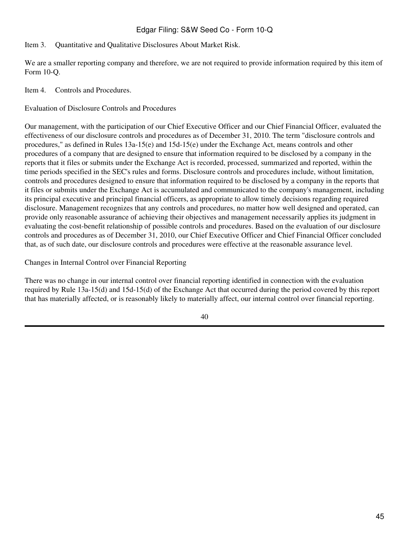# <span id="page-44-0"></span>Item 3. Quantitative and Qualitative Disclosures About Market Risk.

We are a smaller reporting company and therefore, we are not required to provide information required by this item of Form 10-Q.

<span id="page-44-1"></span>Item 4. Controls and Procedures.

Evaluation of Disclosure Controls and Procedures

Our management, with the participation of our Chief Executive Officer and our Chief Financial Officer, evaluated the effectiveness of our disclosure controls and procedures as of December 31, 2010. The term "disclosure controls and procedures," as defined in Rules 13a-15(e) and 15d-15(e) under the Exchange Act, means controls and other procedures of a company that are designed to ensure that information required to be disclosed by a company in the reports that it files or submits under the Exchange Act is recorded, processed, summarized and reported, within the time periods specified in the SEC's rules and forms. Disclosure controls and procedures include, without limitation, controls and procedures designed to ensure that information required to be disclosed by a company in the reports that it files or submits under the Exchange Act is accumulated and communicated to the company's management, including its principal executive and principal financial officers, as appropriate to allow timely decisions regarding required disclosure. Management recognizes that any controls and procedures, no matter how well designed and operated, can provide only reasonable assurance of achieving their objectives and management necessarily applies its judgment in evaluating the cost-benefit relationship of possible controls and procedures. Based on the evaluation of our disclosure controls and procedures as of December 31, 2010, our Chief Executive Officer and Chief Financial Officer concluded that, as of such date, our disclosure controls and procedures were effective at the reasonable assurance level.

Changes in Internal Control over Financial Reporting

There was no change in our internal control over financial reporting identified in connection with the evaluation required by Rule 13a-15(d) and 15d-15(d) of the Exchange Act that occurred during the period covered by this report that has materially affected, or is reasonably likely to materially affect, our internal control over financial reporting.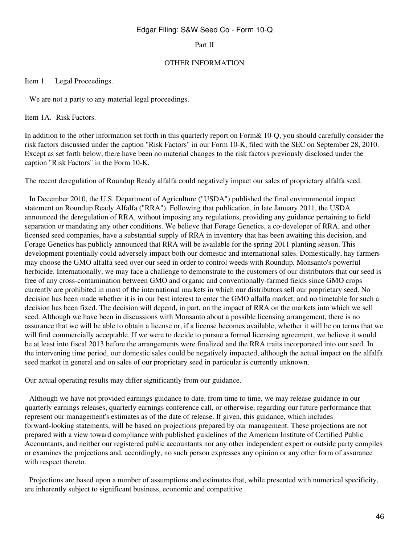#### Part II

#### OTHER INFORMATION

<span id="page-45-0"></span>Item 1. Legal Proceedings.

 We are not a party to any material legal proceedings.

<span id="page-45-1"></span>Item 1A. Risk Factors.

In addition to the other information set forth in this quarterly report on Form& 10-Q, you should carefully consider the risk factors discussed under the caption "Risk Factors" in our Form 10-K, filed with the SEC on September 28, 2010. Except as set forth below, there have been no material changes to the risk factors previously disclosed under the caption "Risk Factors" in the Form 10-K.

The recent deregulation of Roundup Ready alfalfa could negatively impact our sales of proprietary alfalfa seed.

 In December 2010, the U.S. Department of Agriculture ("USDA") published the final environmental impact statement on Roundup Ready Alfalfa ("RRA"). Following that publication, in late January 2011, the USDA announced the deregulation of RRA, without imposing any regulations, providing any guidance pertaining to field separation or mandating any other conditions. We believe that Forage Genetics, a co-developer of RRA, and other licensed seed companies, have a substantial supply of RRA in inventory that has been awaiting this decision, and Forage Genetics has publicly announced that RRA will be available for the spring 2011 planting season. This development potentially could adversely impact both our domestic and international sales. Domestically, hay farmers may choose the GMO alfalfa seed over our seed in order to control weeds with Roundup, Monsanto's powerful herbicide. Internationally, we may face a challenge to demonstrate to the customers of our distributors that our seed is free of any cross-contamination between GMO and organic and conventionally-farmed fields since GMO crops currently are prohibited in most of the international markets in which our distributors sell our proprietary seed. No decision has been made whether it is in our best interest to enter the GMO alfalfa market, and no timetable for such a decision has been fixed. The decision will depend, in part, on the impact of RRA on the markets into which we sell seed. Although we have been in discussions with Monsanto about a possible licensing arrangement, there is no assurance that we will be able to obtain a license or, if a license becomes available, whether it will be on terms that we will find commercially acceptable. If we were to decide to pursue a formal licensing agreement, we believe it would be at least into fiscal 2013 before the arrangements were finalized and the RRA traits incorporated into our seed. In the intervening time period, our domestic sales could be negatively impacted, although the actual impact on the alfalfa seed market in general and on sales of our proprietary seed in particular is currently unknown.

Our actual operating results may differ significantly from our guidance.

 Although we have not provided earnings guidance to date, from time to time, we may release guidance in our quarterly earnings releases, quarterly earnings conference call, or otherwise, regarding our future performance that represent our management's estimates as of the date of release. If given, this guidance, which includes forward-looking statements, will be based on projections prepared by our management. These projections are not prepared with a view toward compliance with published guidelines of the American Institute of Certified Public Accountants, and neither our registered public accountants nor any other independent expert or outside party compiles or examines the projections and, accordingly, no such person expresses any opinion or any other form of assurance with respect thereto.

 Projections are based upon a number of assumptions and estimates that, while presented with numerical specificity, are inherently subject to significant business, economic and competitive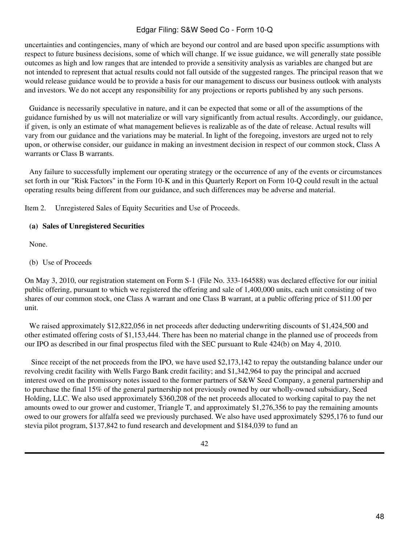uncertainties and contingencies, many of which are beyond our control and are based upon specific assumptions with respect to future business decisions, some of which will change. If we issue guidance, we will generally state possible outcomes as high and low ranges that are intended to provide a sensitivity analysis as variables are changed but are not intended to represent that actual results could not fall outside of the suggested ranges. The principal reason that we would release guidance would be to provide a basis for our management to discuss our business outlook with analysts and investors. We do not accept any responsibility for any projections or reports published by any such persons.

 Guidance is necessarily speculative in nature, and it can be expected that some or all of the assumptions of the guidance furnished by us will not materialize or will vary significantly from actual results. Accordingly, our guidance, if given, is only an estimate of what management believes is realizable as of the date of release. Actual results will vary from our guidance and the variations may be material. In light of the foregoing, investors are urged not to rely upon, or otherwise consider, our guidance in making an investment decision in respect of our common stock, Class A warrants or Class B warrants.

 Any failure to successfully implement our operating strategy or the occurrence of any of the events or circumstances set forth in our "Risk Factors" in the Form 10-K and in this Quarterly Report on Form 10-Q could result in the actual operating results being different from our guidance, and such differences may be adverse and material.

<span id="page-47-0"></span>Item 2. Unregistered Sales of Equity Securities and Use of Proceeds.

### **(a) Sales of Unregistered Securities**

 None.

(b) Use of Proceeds

On May 3, 2010, our registration statement on Form S-1 (File No. 333-164588) was declared effective for our initial public offering, pursuant to which we registered the offering and sale of 1,400,000 units, each unit consisting of two shares of our common stock, one Class A warrant and one Class B warrant, at a public offering price of \$11.00 per unit.

We raised approximately \$12,822,056 in net proceeds after deducting underwriting discounts of \$1,424,500 and other estimated offering costs of \$1,153,444. There has been no material change in the planned use of proceeds from our IPO as described in our final prospectus filed with the SEC pursuant to Rule 424(b) on May 4, 2010.

 Since receipt of the net proceeds from the IPO, we have used \$2,173,142 to repay the outstanding balance under our revolving credit facility with Wells Fargo Bank credit facility; and \$1,342,964 to pay the principal and accrued interest owed on the promissory notes issued to the former partners of S&W Seed Company, a general partnership and to purchase the final 15% of the general partnership not previously owned by our wholly-owned subsidiary, Seed Holding, LLC. We also used approximately \$360,208 of the net proceeds allocated to working capital to pay the net amounts owed to our grower and customer, Triangle T, and approximately \$1,276,356 to pay the remaining amounts owed to our growers for alfalfa seed we previously purchased. We also have used approximately \$295,176 to fund our stevia pilot program, \$137,842 to fund research and development and \$184,039 to fund an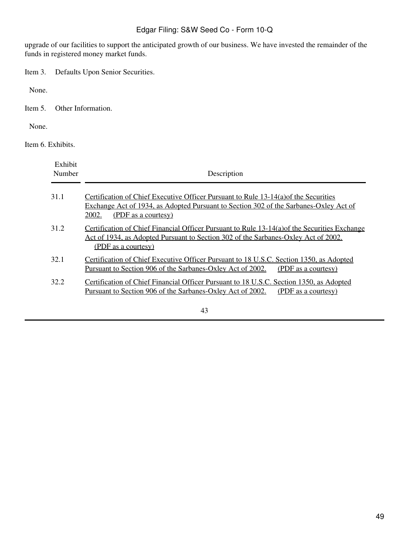upgrade of our facilities to support the anticipated growth of our business. We have invested the remainder of the funds in registered money market funds.

<span id="page-48-0"></span>Item 3. Defaults Upon Senior Securities.

 None.

<span id="page-48-1"></span>Item 5. Other Information.

 None.

<span id="page-48-2"></span>Item 6. Exhibits.

| Exhibit<br>Number | Description                                                                                                                                                                                                          |
|-------------------|----------------------------------------------------------------------------------------------------------------------------------------------------------------------------------------------------------------------|
| 31.1              | Certification of Chief Executive Officer Pursuant to Rule 13-14(a) of the Securities<br>Exchange Act of 1934, as Adopted Pursuant to Section 302 of the Sarbanes-Oxley Act of<br><u>2002.</u><br>(PDF as a courtesy) |
| 31.2              | Certification of Chief Financial Officer Pursuant to Rule 13-14(a) of the Securities Exchange<br>Act of 1934, as Adopted Pursuant to Section 302 of the Sarbanes-Oxley Act of 2002.<br>(PDF as a courtesy)           |
| 32.1              | Certification of Chief Executive Officer Pursuant to 18 U.S.C. Section 1350, as Adopted<br>Pursuant to Section 906 of the Sarbanes-Oxley Act of 2002.<br>(PDF as a courtesy)                                         |
| 32.2              | Certification of Chief Financial Officer Pursuant to 18 U.S.C. Section 1350, as Adopted<br>Pursuant to Section 906 of the Sarbanes-Oxley Act of 2002.<br>(PDF as a courtesy)<br>$\sqrt{2}$                           |